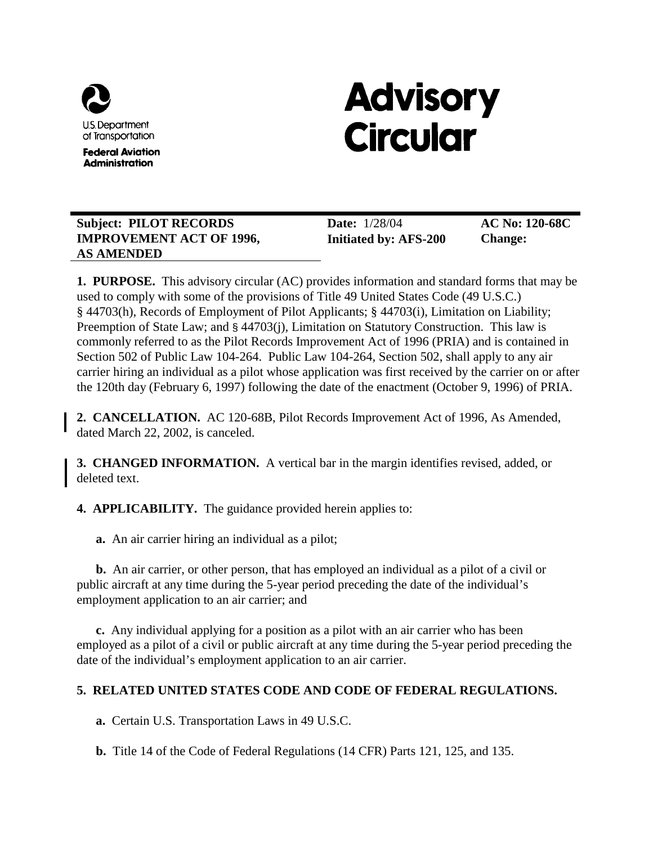

**Federal Aviation Administration** 

# **Advisory Circular**

# **Subject: PILOT RECORDS IMPROVEMENT ACT OF 1996, AS AMENDED**

**Date:** 1/28/04 **Initiated by: AFS-200**  **AC No: 120-68C Change:** 

**1. PURPOSE.** This advisory circular (AC) provides information and standard forms that may be used to comply with some of the provisions of Title 49 United States Code (49 U.S.C.) § 44703(h), Records of Employment of Pilot Applicants; § 44703(i), Limitation on Liability; Preemption of State Law; and § 44703(j), Limitation on Statutory Construction. This law is commonly referred to as the Pilot Records Improvement Act of 1996 (PRIA) and is contained in Section 502 of Public Law 104-264. Public Law 104-264, Section 502, shall apply to any air carrier hiring an individual as a pilot whose application was first received by the carrier on or after the 120th day (February 6, 1997) following the date of the enactment (October 9, 1996) of PRIA.

**2. CANCELLATION.** AC 120-68B, Pilot Records Improvement Act of 1996, As Amended, dated March 22, 2002, is canceled.

**3. CHANGED INFORMATION.** A vertical bar in the margin identifies revised, added, or deleted text.

**4. APPLICABILITY.** The guidance provided herein applies to:

**a.** An air carrier hiring an individual as a pilot;

**b.** An air carrier, or other person, that has employed an individual as a pilot of a civil or public aircraft at any time during the 5-year period preceding the date of the individual's employment application to an air carrier; and

**c.** Any individual applying for a position as a pilot with an air carrier who has been employed as a pilot of a civil or public aircraft at any time during the 5-year period preceding the date of the individual's employment application to an air carrier.

# **5. RELATED UNITED STATES CODE AND CODE OF FEDERAL REGULATIONS.**

**a.** Certain U.S. Transportation Laws in 49 U.S.C.

**b.** Title 14 of the Code of Federal Regulations (14 CFR) Parts 121, 125, and 135.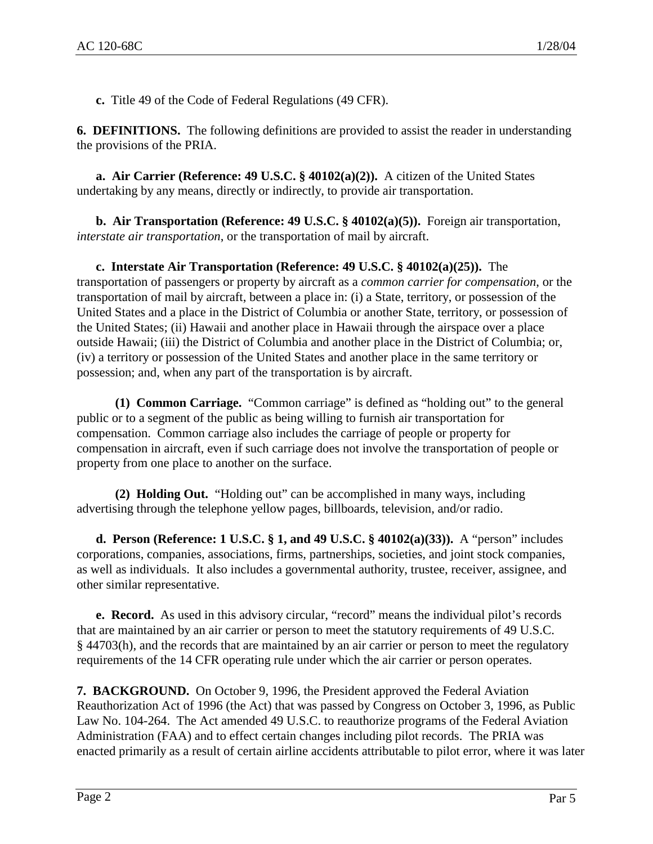**c.** Title 49 of the Code of Federal Regulations (49 CFR).

**6. DEFINITIONS.** The following definitions are provided to assist the reader in understanding the provisions of the PRIA.

**a. Air Carrier (Reference: 49 U.S.C. § 40102(a)(2)).** A citizen of the United States undertaking by any means, directly or indirectly, to provide air transportation.

**b. Air Transportation (Reference: 49 U.S.C. § 40102(a)(5)).** Foreign air transportation, *interstate air transportation*, or the transportation of mail by aircraft.

**c. Interstate Air Transportation (Reference: 49 U.S.C. § 40102(a)(25)).** The transportation of passengers or property by aircraft as a *common carrier for compensation*, or the transportation of mail by aircraft, between a place in: (i) a State, territory, or possession of the United States and a place in the District of Columbia or another State, territory, or possession of the United States; (ii) Hawaii and another place in Hawaii through the airspace over a place outside Hawaii; (iii) the District of Columbia and another place in the District of Columbia; or, (iv) a territory or possession of the United States and another place in the same territory or possession; and, when any part of the transportation is by aircraft.

**(1) Common Carriage.** "Common carriage" is defined as "holding out" to the general public or to a segment of the public as being willing to furnish air transportation for compensation. Common carriage also includes the carriage of people or property for compensation in aircraft, even if such carriage does not involve the transportation of people or property from one place to another on the surface.

**(2) Holding Out.** "Holding out" can be accomplished in many ways, including advertising through the telephone yellow pages, billboards, television, and/or radio.

**d. Person (Reference: 1 U.S.C. § 1, and 49 U.S.C. § 40102(a)(33)).** A "person" includes corporations, companies, associations, firms, partnerships, societies, and joint stock companies, as well as individuals. It also includes a governmental authority, trustee, receiver, assignee, and other similar representative.

**e. Record.** As used in this advisory circular, "record" means the individual pilot's records that are maintained by an air carrier or person to meet the statutory requirements of 49 U.S.C. § 44703(h), and the records that are maintained by an air carrier or person to meet the regulatory requirements of the 14 CFR operating rule under which the air carrier or person operates.

**7. BACKGROUND.** On October 9, 1996, the President approved the Federal Aviation Reauthorization Act of 1996 (the Act) that was passed by Congress on October 3, 1996, as Public Law No. 104-264. The Act amended 49 U.S.C. to reauthorize programs of the Federal Aviation Administration (FAA) and to effect certain changes including pilot records. The PRIA was enacted primarily as a result of certain airline accidents attributable to pilot error, where it was later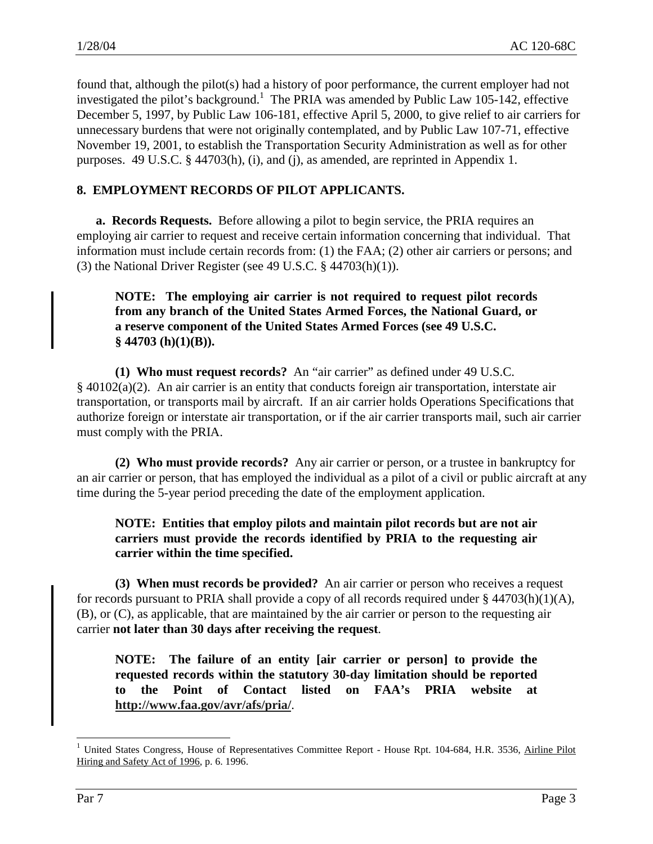found that, although the pilot(s) had a history of poor performance, the current employer had not investigated the pilot's background.<sup>1</sup> The PRIA was amended by Public Law 105-142, effective December 5, 1997, by Public Law 106-181, effective April 5, 2000, to give relief to air carriers for unnecessary burdens that were not originally contemplated, and by Public Law 107-71, effective November 19, 2001, to establish the Transportation Security Administration as well as for other purposes. 49 U.S.C. § 44703(h), (i), and (j), as amended, are reprinted in Appendix 1.

# **8. EMPLOYMENT RECORDS OF PILOT APPLICANTS.**

**a. Records Requests.** Before allowing a pilot to begin service, the PRIA requires an employing air carrier to request and receive certain information concerning that individual. That information must include certain records from: (1) the FAA; (2) other air carriers or persons; and (3) the National Driver Register (see 49 U.S.C. § 44703(h)(1)).

# **NOTE: The employing air carrier is not required to request pilot records from any branch of the United States Armed Forces, the National Guard, or a reserve component of the United States Armed Forces (see 49 U.S.C. § 44703 (h)(1)(B)).**

**(1) Who must request records?** An "air carrier" as defined under 49 U.S.C. § 40102(a)(2). An air carrier is an entity that conducts foreign air transportation, interstate air transportation, or transports mail by aircraft. If an air carrier holds Operations Specifications that authorize foreign or interstate air transportation, or if the air carrier transports mail, such air carrier must comply with the PRIA.

**(2) Who must provide records?** Any air carrier or person, or a trustee in bankruptcy for an air carrier or person, that has employed the individual as a pilot of a civil or public aircraft at any time during the 5-year period preceding the date of the employment application.

# **NOTE: Entities that employ pilots and maintain pilot records but are not air carriers must provide the records identified by PRIA to the requesting air carrier within the time specified.**

**(3) When must records be provided?** An air carrier or person who receives a request for records pursuant to PRIA shall provide a copy of all records required under  $\S$  44703(h)(1)(A), (B), or (C), as applicable, that are maintained by the air carrier or person to the requesting air carrier **not later than 30 days after receiving the request**.

**NOTE: The failure of an entity [air carrier or person] to provide the requested records within the statutory 30-day limitation should be reported to the Point of Contact listed on FAA's PRIA website at http://www.faa.gov/avr/afs/pria/**.

1

<sup>&</sup>lt;sup>1</sup> United States Congress, House of Representatives Committee Report - House Rpt. 104-684, H.R. 3536, Airline Pilot Hiring and Safety Act of 1996, p. 6. 1996.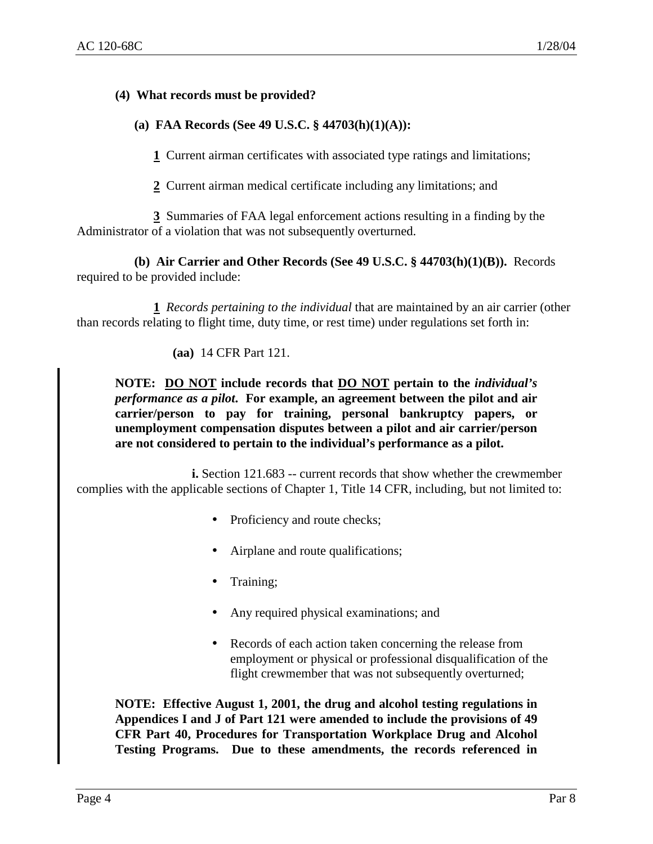#### **(4) What records must be provided?**

#### **(a) FAA Records (See 49 U.S.C. § 44703(h)(1)(A)):**

**1** Current airman certificates with associated type ratings and limitations;

**2** Current airman medical certificate including any limitations; and

**3** Summaries of FAA legal enforcement actions resulting in a finding by the Administrator of a violation that was not subsequently overturned.

**(b) Air Carrier and Other Records (See 49 U.S.C. § 44703(h)(1)(B)).** Records required to be provided include:

**1** *Records pertaining to the individual* that are maintained by an air carrier (other than records relating to flight time, duty time, or rest time) under regulations set forth in:

**(aa)** 14 CFR Part 121.

**NOTE: DO NOT include records that DO NOT pertain to the** *individual's performance as a pilot***. For example, an agreement between the pilot and air carrier/person to pay for training, personal bankruptcy papers, or unemployment compensation disputes between a pilot and air carrier/person are not considered to pertain to the individual's performance as a pilot.** 

**i.** Section 121.683 -- current records that show whether the crewmember complies with the applicable sections of Chapter 1, Title 14 CFR, including, but not limited to:

- Proficiency and route checks;
- Airplane and route qualifications;
- Training;
- Any required physical examinations; and
- Records of each action taken concerning the release from employment or physical or professional disqualification of the flight crewmember that was not subsequently overturned;

**NOTE: Effective August 1, 2001, the drug and alcohol testing regulations in Appendices I and J of Part 121 were amended to include the provisions of 49 CFR Part 40, Procedures for Transportation Workplace Drug and Alcohol Testing Programs. Due to these amendments, the records referenced in**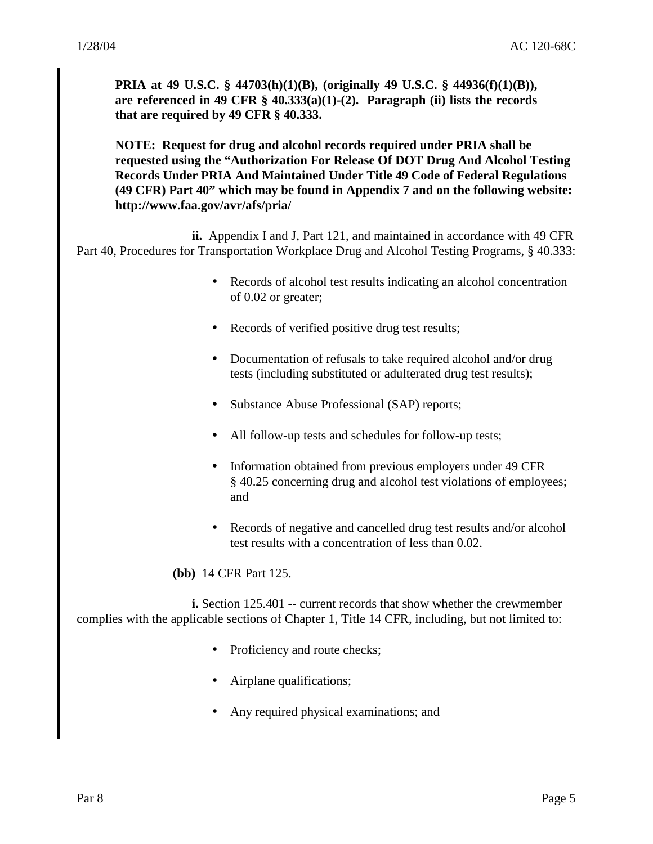**PRIA at 49 U.S.C. § 44703(h)(1)(B), (originally 49 U.S.C. § 44936(f)(1)(B)), are referenced in 49 CFR § 40.333(a)(1)-(2). Paragraph (ii) lists the records that are required by 49 CFR § 40.333.** 

**NOTE: Request for drug and alcohol records required under PRIA shall be requested using the "Authorization For Release Of DOT Drug And Alcohol Testing Records Under PRIA And Maintained Under Title 49 Code of Federal Regulations (49 CFR) Part 40" which may be found in Appendix 7 and on the following website: http://www.faa.gov/avr/afs/pria/** 

**ii.** Appendix I and J, Part 121, and maintained in accordance with 49 CFR Part 40, Procedures for Transportation Workplace Drug and Alcohol Testing Programs, § 40.333:

- Records of alcohol test results indicating an alcohol concentration of 0.02 or greater;
- Records of verified positive drug test results;
- Documentation of refusals to take required alcohol and/or drug tests (including substituted or adulterated drug test results);
- Substance Abuse Professional (SAP) reports;
- All follow-up tests and schedules for follow-up tests;
- Information obtained from previous employers under 49 CFR § 40.25 concerning drug and alcohol test violations of employees; and
- Records of negative and cancelled drug test results and/or alcohol test results with a concentration of less than 0.02.

**(bb)** 14 CFR Part 125.

**i.** Section 125.401 -- current records that show whether the crewmember complies with the applicable sections of Chapter 1, Title 14 CFR, including, but not limited to:

- Proficiency and route checks;
- Airplane qualifications;
- Any required physical examinations; and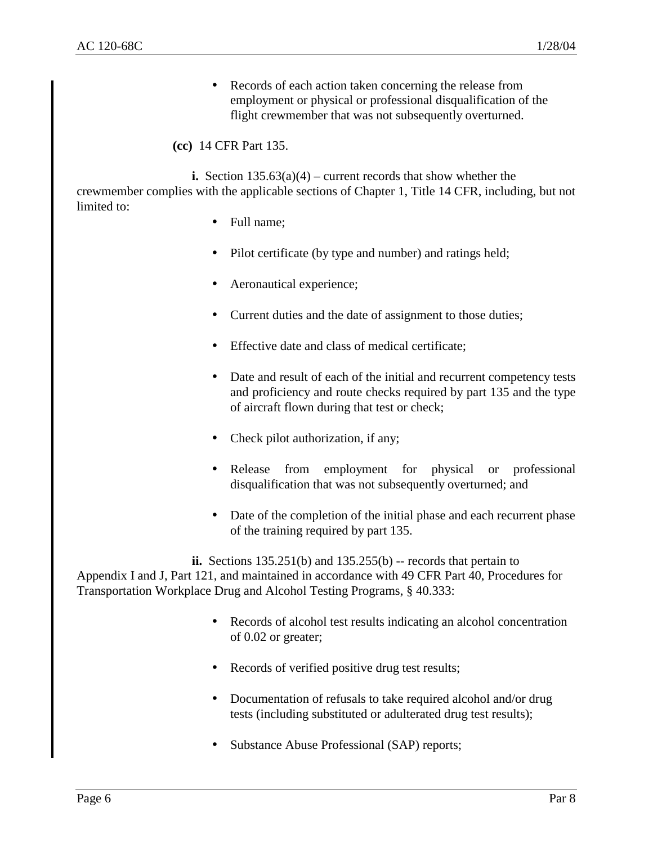• Records of each action taken concerning the release from employment or physical or professional disqualification of the flight crewmember that was not subsequently overturned.

#### **(cc)** 14 CFR Part 135.

**i.** Section 135.63(a)(4) – current records that show whether the crewmember complies with the applicable sections of Chapter 1, Title 14 CFR, including, but not limited to:

- Full name;
- Pilot certificate (by type and number) and ratings held;
- Aeronautical experience;
- Current duties and the date of assignment to those duties;
- Effective date and class of medical certificate:
- Date and result of each of the initial and recurrent competency tests and proficiency and route checks required by part 135 and the type of aircraft flown during that test or check;
- Check pilot authorization, if any;
- Release from employment for physical or professional disqualification that was not subsequently overturned; and
- Date of the completion of the initial phase and each recurrent phase of the training required by part 135.

**ii.** Sections 135.251(b) and 135.255(b) -- records that pertain to Appendix I and J, Part 121, and maintained in accordance with 49 CFR Part 40, Procedures for Transportation Workplace Drug and Alcohol Testing Programs, § 40.333:

- Records of alcohol test results indicating an alcohol concentration of 0.02 or greater;
- Records of verified positive drug test results;
- Documentation of refusals to take required alcohol and/or drug tests (including substituted or adulterated drug test results);
- Substance Abuse Professional (SAP) reports;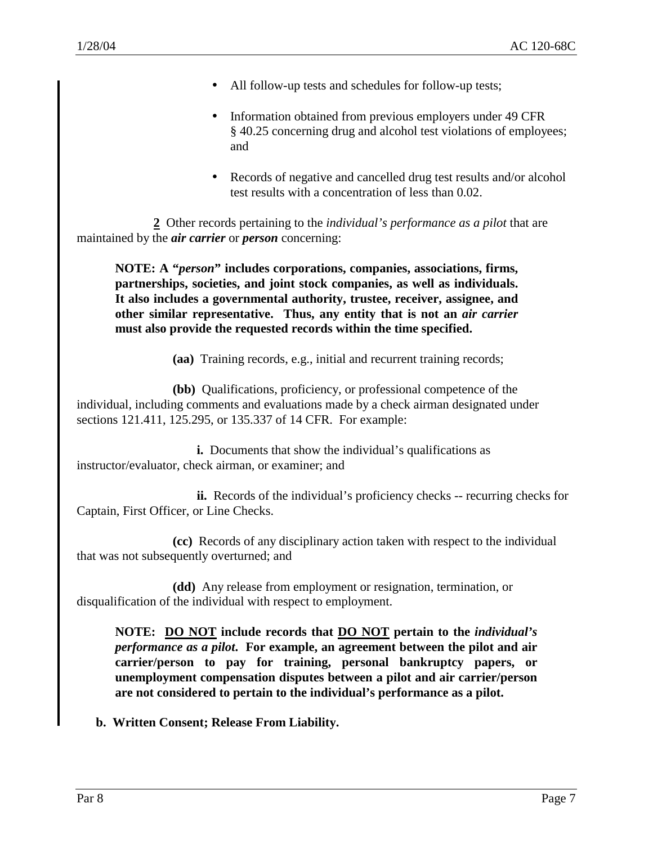- All follow-up tests and schedules for follow-up tests;
- Information obtained from previous employers under 49 CFR § 40.25 concerning drug and alcohol test violations of employees; and
- Records of negative and cancelled drug test results and/or alcohol test results with a concentration of less than 0.02.

**2** Other records pertaining to the *individual's performance as a pilot* that are maintained by the *air carrier* or *person* concerning:

**NOTE: A "***person***" includes corporations, companies, associations, firms, partnerships, societies, and joint stock companies, as well as individuals. It also includes a governmental authority, trustee, receiver, assignee, and other similar representative. Thus, any entity that is not an** *air carrier* **must also provide the requested records within the time specified.** 

**(aa)** Training records, e.g., initial and recurrent training records;

**(bb)** Qualifications, proficiency, or professional competence of the individual, including comments and evaluations made by a check airman designated under sections 121.411, 125.295, or 135.337 of 14 CFR. For example:

**i.** Documents that show the individual's qualifications as instructor/evaluator, check airman, or examiner; and

**ii.** Records of the individual's proficiency checks -- recurring checks for Captain, First Officer, or Line Checks.

**(cc)** Records of any disciplinary action taken with respect to the individual that was not subsequently overturned; and

**(dd)** Any release from employment or resignation, termination, or disqualification of the individual with respect to employment.

**NOTE: DO NOT include records that DO NOT pertain to the** *individual's performance as a pilot***. For example, an agreement between the pilot and air carrier/person to pay for training, personal bankruptcy papers, or unemployment compensation disputes between a pilot and air carrier/person are not considered to pertain to the individual's performance as a pilot.** 

**b. Written Consent; Release From Liability.**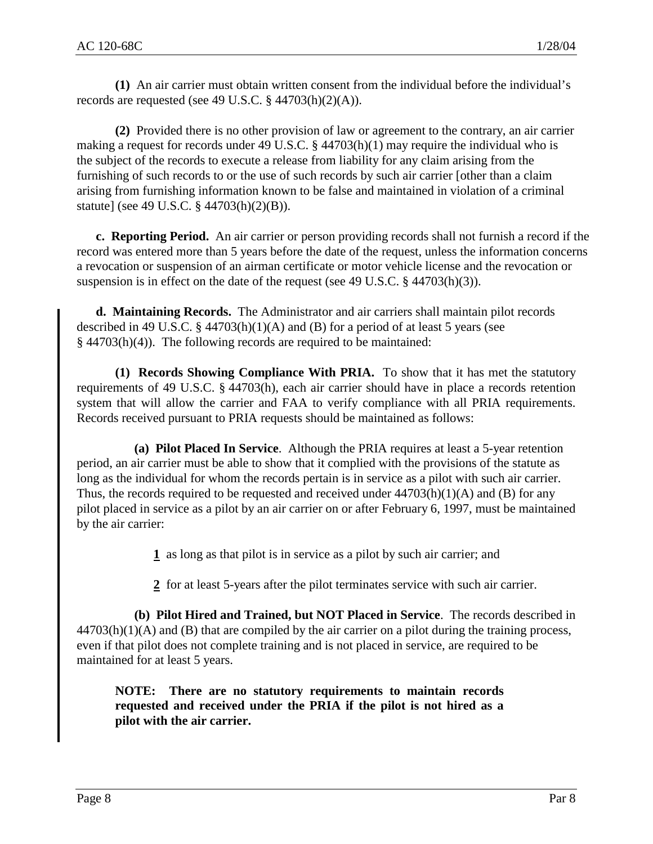**(1)** An air carrier must obtain written consent from the individual before the individual's records are requested (see 49 U.S.C.  $\S$  44703(h)(2)(A)).

**(2)** Provided there is no other provision of law or agreement to the contrary, an air carrier making a request for records under 49 U.S.C. §  $44703(h)(1)$  may require the individual who is the subject of the records to execute a release from liability for any claim arising from the furnishing of such records to or the use of such records by such air carrier [other than a claim arising from furnishing information known to be false and maintained in violation of a criminal statute] (see 49 U.S.C. § 44703(h)(2)(B)).

**c. Reporting Period.** An air carrier or person providing records shall not furnish a record if the record was entered more than 5 years before the date of the request, unless the information concerns a revocation or suspension of an airman certificate or motor vehicle license and the revocation or suspension is in effect on the date of the request (see 49 U.S.C.  $\S$  44703(h)(3)).

**d. Maintaining Records.** The Administrator and air carriers shall maintain pilot records described in 49 U.S.C.  $\S$  44703(h)(1)(A) and (B) for a period of at least 5 years (see § 44703(h)(4)). The following records are required to be maintained:

**(1) Records Showing Compliance With PRIA.** To show that it has met the statutory requirements of 49 U.S.C. § 44703(h), each air carrier should have in place a records retention system that will allow the carrier and FAA to verify compliance with all PRIA requirements. Records received pursuant to PRIA requests should be maintained as follows:

**(a) Pilot Placed In Service**. Although the PRIA requires at least a 5-year retention period, an air carrier must be able to show that it complied with the provisions of the statute as long as the individual for whom the records pertain is in service as a pilot with such air carrier. Thus, the records required to be requested and received under  $44703(h)(1)(A)$  and (B) for any pilot placed in service as a pilot by an air carrier on or after February 6, 1997, must be maintained by the air carrier:

**1** as long as that pilot is in service as a pilot by such air carrier; and

**2** for at least 5-years after the pilot terminates service with such air carrier.

**(b) Pilot Hired and Trained, but NOT Placed in Service**. The records described in  $44703(h)(1)(A)$  and (B) that are compiled by the air carrier on a pilot during the training process, even if that pilot does not complete training and is not placed in service, are required to be maintained for at least 5 years.

**NOTE: There are no statutory requirements to maintain records requested and received under the PRIA if the pilot is not hired as a pilot with the air carrier.**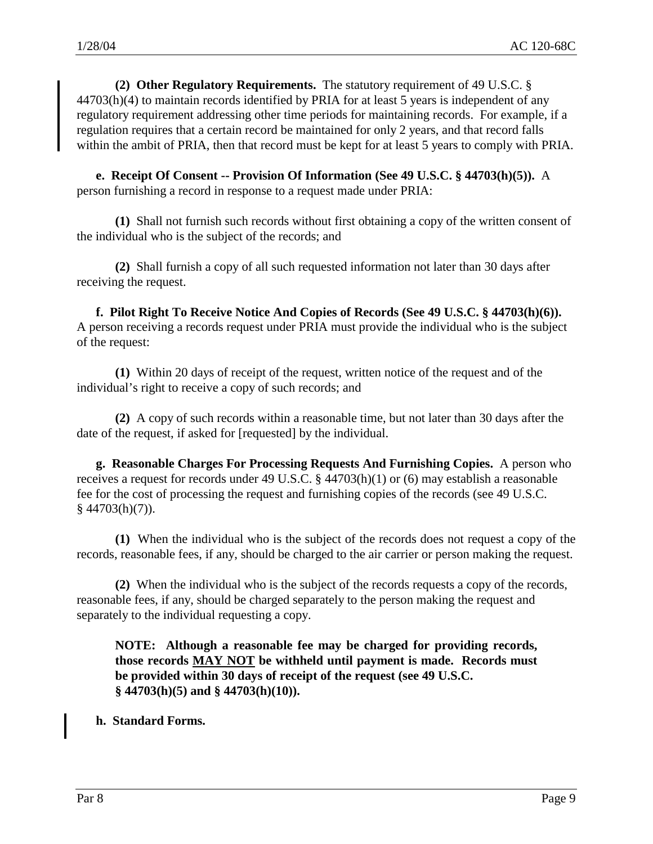**(2) Other Regulatory Requirements.** The statutory requirement of 49 U.S.C. § 44703(h)(4) to maintain records identified by PRIA for at least 5 years is independent of any regulatory requirement addressing other time periods for maintaining records. For example, if a regulation requires that a certain record be maintained for only 2 years, and that record falls within the ambit of PRIA, then that record must be kept for at least 5 years to comply with PRIA.

**e. Receipt Of Consent -- Provision Of Information (See 49 U.S.C. § 44703(h)(5)).** A person furnishing a record in response to a request made under PRIA:

**(1)** Shall not furnish such records without first obtaining a copy of the written consent of the individual who is the subject of the records; and

**(2)** Shall furnish a copy of all such requested information not later than 30 days after receiving the request.

**f. Pilot Right To Receive Notice And Copies of Records (See 49 U.S.C. § 44703(h)(6)).** A person receiving a records request under PRIA must provide the individual who is the subject of the request:

**(1)** Within 20 days of receipt of the request, written notice of the request and of the individual's right to receive a copy of such records; and

**(2)** A copy of such records within a reasonable time, but not later than 30 days after the date of the request, if asked for [requested] by the individual.

**g. Reasonable Charges For Processing Requests And Furnishing Copies.** A person who receives a request for records under 49 U.S.C. § 44703(h)(1) or (6) may establish a reasonable fee for the cost of processing the request and furnishing copies of the records (see 49 U.S.C. § 44703(h)(7)).

**(1)** When the individual who is the subject of the records does not request a copy of the records, reasonable fees, if any, should be charged to the air carrier or person making the request.

**(2)** When the individual who is the subject of the records requests a copy of the records, reasonable fees, if any, should be charged separately to the person making the request and separately to the individual requesting a copy.

**NOTE: Although a reasonable fee may be charged for providing records, those records MAY NOT be withheld until payment is made. Records must be provided within 30 days of receipt of the request (see 49 U.S.C. § 44703(h)(5) and § 44703(h)(10)).**

**h. Standard Forms.**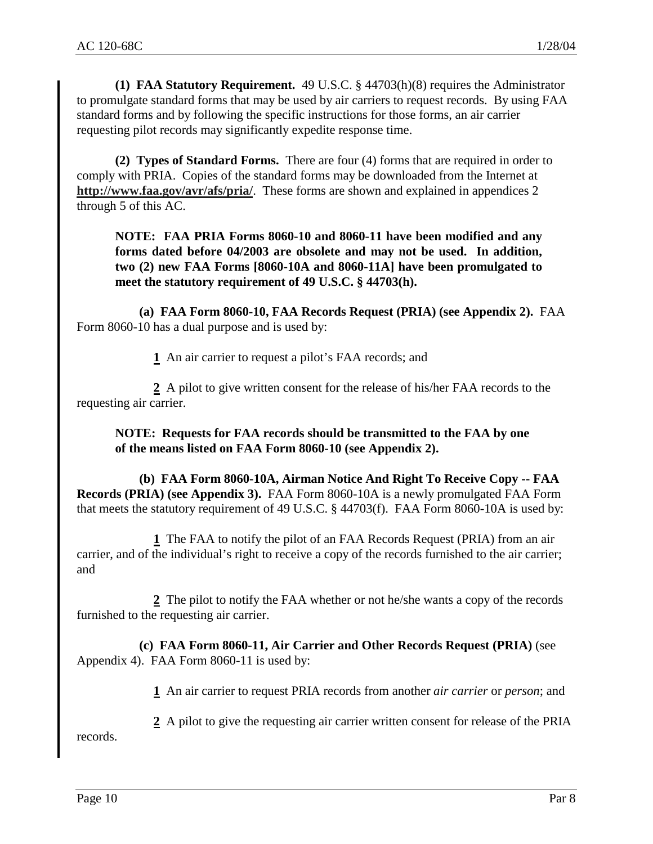**(1) FAA Statutory Requirement.** 49 U.S.C. § 44703(h)(8) requires the Administrator to promulgate standard forms that may be used by air carriers to request records. By using FAA standard forms and by following the specific instructions for those forms, an air carrier requesting pilot records may significantly expedite response time.

**(2) Types of Standard Forms.** There are four (4) forms that are required in order to comply with PRIA. Copies of the standard forms may be downloaded from the Internet at **http://www.faa.gov/avr/afs/pria/**. These forms are shown and explained in appendices 2 through 5 of this AC.

**NOTE: FAA PRIA Forms 8060-10 and 8060-11 have been modified and any forms dated before 04/2003 are obsolete and may not be used. In addition, two (2) new FAA Forms [8060-10A and 8060-11A] have been promulgated to meet the statutory requirement of 49 U.S.C. § 44703(h).** 

**(a) FAA Form 8060-10, FAA Records Request (PRIA) (see Appendix 2).** FAA Form 8060-10 has a dual purpose and is used by:

**1** An air carrier to request a pilot's FAA records; and

**2** A pilot to give written consent for the release of his/her FAA records to the requesting air carrier.

**NOTE: Requests for FAA records should be transmitted to the FAA by one of the means listed on FAA Form 8060-10 (see Appendix 2).** 

**(b) FAA Form 8060-10A, Airman Notice And Right To Receive Copy -- FAA Records (PRIA) (see Appendix 3).** FAA Form 8060-10A is a newly promulgated FAA Form that meets the statutory requirement of 49 U.S.C. § 44703(f). FAA Form 8060-10A is used by:

**1** The FAA to notify the pilot of an FAA Records Request (PRIA) from an air carrier, and of the individual's right to receive a copy of the records furnished to the air carrier; and

**2** The pilot to notify the FAA whether or not he/she wants a copy of the records furnished to the requesting air carrier.

**(c) FAA Form 8060-11, Air Carrier and Other Records Request (PRIA)** (see Appendix 4). FAA Form 8060-11 is used by:

**1** An air carrier to request PRIA records from another *air carrier* or *person*; and

**2** A pilot to give the requesting air carrier written consent for release of the PRIA records.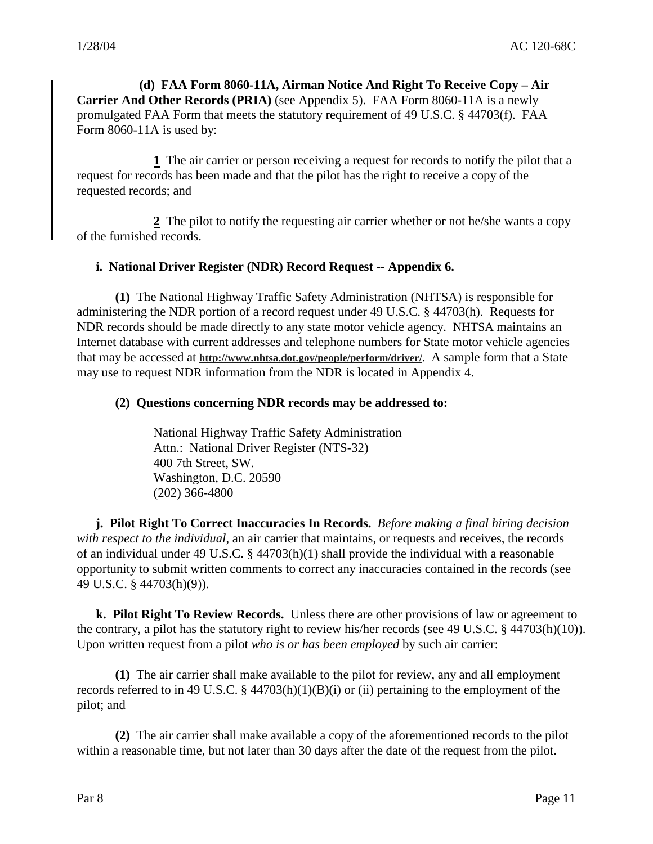**(d) FAA Form 8060-11A, Airman Notice And Right To Receive Copy – Air Carrier And Other Records (PRIA)** (see Appendix 5). FAA Form 8060-11A is a newly promulgated FAA Form that meets the statutory requirement of 49 U.S.C. § 44703(f). FAA Form 8060-11A is used by:

**1** The air carrier or person receiving a request for records to notify the pilot that a request for records has been made and that the pilot has the right to receive a copy of the requested records; and

**2** The pilot to notify the requesting air carrier whether or not he/she wants a copy of the furnished records.

#### **i. National Driver Register (NDR) Record Request -- Appendix 6.**

**(1)** The National Highway Traffic Safety Administration (NHTSA) is responsible for administering the NDR portion of a record request under 49 U.S.C. § 44703(h). Requests for NDR records should be made directly to any state motor vehicle agency. NHTSA maintains an Internet database with current addresses and telephone numbers for State motor vehicle agencies that may be accessed at **http://www.nhtsa.dot.gov/people/perform/driver/**. A sample form that a State may use to request NDR information from the NDR is located in Appendix 4.

#### **(2) Questions concerning NDR records may be addressed to:**

 National Highway Traffic Safety Administration Attn.: National Driver Register (NTS-32) 400 7th Street, SW. Washington, D.C. 20590 (202) 366-4800

**j. Pilot Right To Correct Inaccuracies In Records.** *Before making a final hiring decision with respect to the individual*, an air carrier that maintains, or requests and receives, the records of an individual under 49 U.S.C. § 44703(h)(1) shall provide the individual with a reasonable opportunity to submit written comments to correct any inaccuracies contained in the records (see 49 U.S.C. § 44703(h)(9)).

**k. Pilot Right To Review Records.** Unless there are other provisions of law or agreement to the contrary, a pilot has the statutory right to review his/her records (see 49 U.S.C. § 44703(h)(10)). Upon written request from a pilot *who is or has been employed* by such air carrier:

**(1)** The air carrier shall make available to the pilot for review, any and all employment records referred to in 49 U.S.C.  $\S$  44703(h)(1)(B)(i) or (ii) pertaining to the employment of the pilot; and

**(2)** The air carrier shall make available a copy of the aforementioned records to the pilot within a reasonable time, but not later than 30 days after the date of the request from the pilot.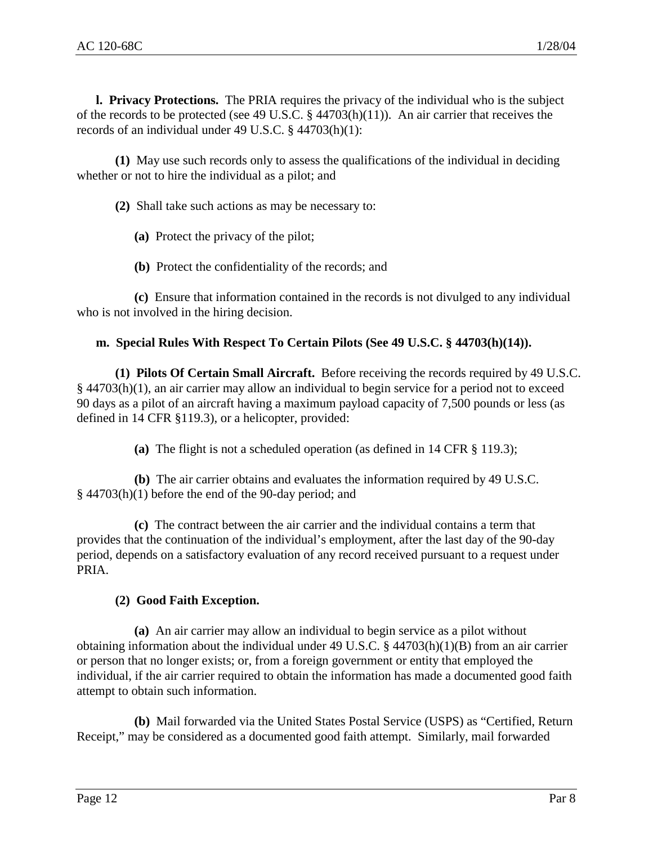**l. Privacy Protections.** The PRIA requires the privacy of the individual who is the subject of the records to be protected (see 49 U.S.C. § 44703(h)(11)). An air carrier that receives the records of an individual under 49 U.S.C. § 44703(h)(1):

**(1)** May use such records only to assess the qualifications of the individual in deciding whether or not to hire the individual as a pilot; and

**(2)** Shall take such actions as may be necessary to:

**(a)** Protect the privacy of the pilot;

**(b)** Protect the confidentiality of the records; and

**(c)** Ensure that information contained in the records is not divulged to any individual who is not involved in the hiring decision.

# **m. Special Rules With Respect To Certain Pilots (See 49 U.S.C. § 44703(h)(14)).**

**(1) Pilots Of Certain Small Aircraft.** Before receiving the records required by 49 U.S.C. § 44703(h)(1), an air carrier may allow an individual to begin service for a period not to exceed 90 days as a pilot of an aircraft having a maximum payload capacity of 7,500 pounds or less (as defined in 14 CFR §119.3), or a helicopter, provided:

**(a)** The flight is not a scheduled operation (as defined in 14 CFR § 119.3);

**(b)** The air carrier obtains and evaluates the information required by 49 U.S.C. § 44703(h)(1) before the end of the 90-day period; and

**(c)** The contract between the air carrier and the individual contains a term that provides that the continuation of the individual's employment, after the last day of the 90-day period, depends on a satisfactory evaluation of any record received pursuant to a request under PRIA.

# **(2) Good Faith Exception.**

**(a)** An air carrier may allow an individual to begin service as a pilot without obtaining information about the individual under 49 U.S.C. § 44703(h)(1)(B) from an air carrier or person that no longer exists; or, from a foreign government or entity that employed the individual, if the air carrier required to obtain the information has made a documented good faith attempt to obtain such information.

**(b)** Mail forwarded via the United States Postal Service (USPS) as "Certified, Return Receipt," may be considered as a documented good faith attempt. Similarly, mail forwarded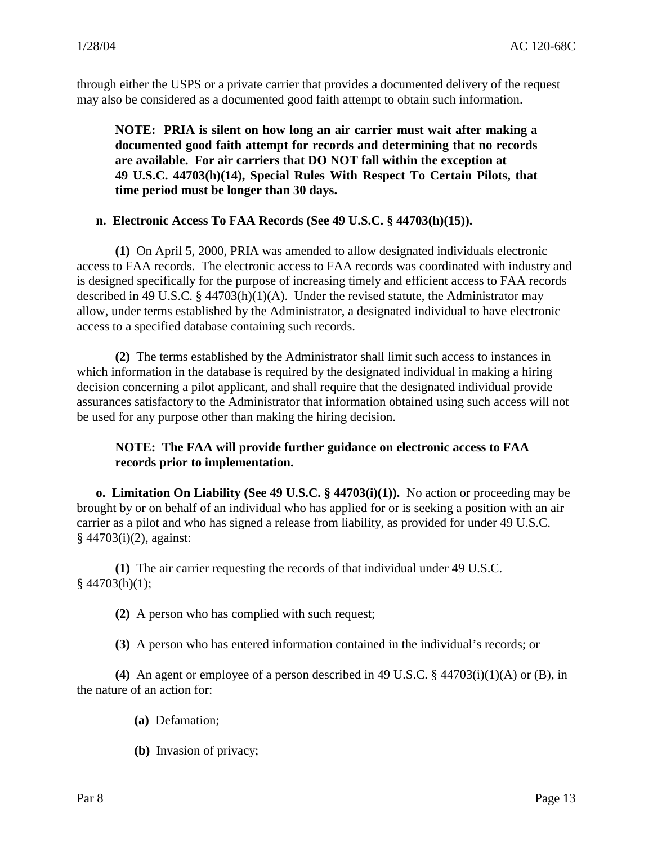through either the USPS or a private carrier that provides a documented delivery of the request may also be considered as a documented good faith attempt to obtain such information.

**NOTE: PRIA is silent on how long an air carrier must wait after making a documented good faith attempt for records and determining that no records are available. For air carriers that DO NOT fall within the exception at 49 U.S.C. 44703(h)(14), Special Rules With Respect To Certain Pilots, that time period must be longer than 30 days.** 

# **n. Electronic Access To FAA Records (See 49 U.S.C. § 44703(h)(15)).**

**(1)** On April 5, 2000, PRIA was amended to allow designated individuals electronic access to FAA records. The electronic access to FAA records was coordinated with industry and is designed specifically for the purpose of increasing timely and efficient access to FAA records described in 49 U.S.C.  $\S$  44703(h)(1)(A). Under the revised statute, the Administrator may allow, under terms established by the Administrator, a designated individual to have electronic access to a specified database containing such records.

**(2)** The terms established by the Administrator shall limit such access to instances in which information in the database is required by the designated individual in making a hiring decision concerning a pilot applicant, and shall require that the designated individual provide assurances satisfactory to the Administrator that information obtained using such access will not be used for any purpose other than making the hiring decision.

# **NOTE: The FAA will provide further guidance on electronic access to FAA records prior to implementation.**

**o. Limitation On Liability (See 49 U.S.C. § 44703(i)(1)).** No action or proceeding may be brought by or on behalf of an individual who has applied for or is seeking a position with an air carrier as a pilot and who has signed a release from liability, as provided for under 49 U.S.C. § 44703(i)(2), against:

**(1)** The air carrier requesting the records of that individual under 49 U.S.C.  $§$  44703(h)(1);

**(2)** A person who has complied with such request;

**(3)** A person who has entered information contained in the individual's records; or

**(4)** An agent or employee of a person described in 49 U.S.C. § 44703(i)(1)(A) or (B), in the nature of an action for:

- **(a)** Defamation;
- **(b)** Invasion of privacy;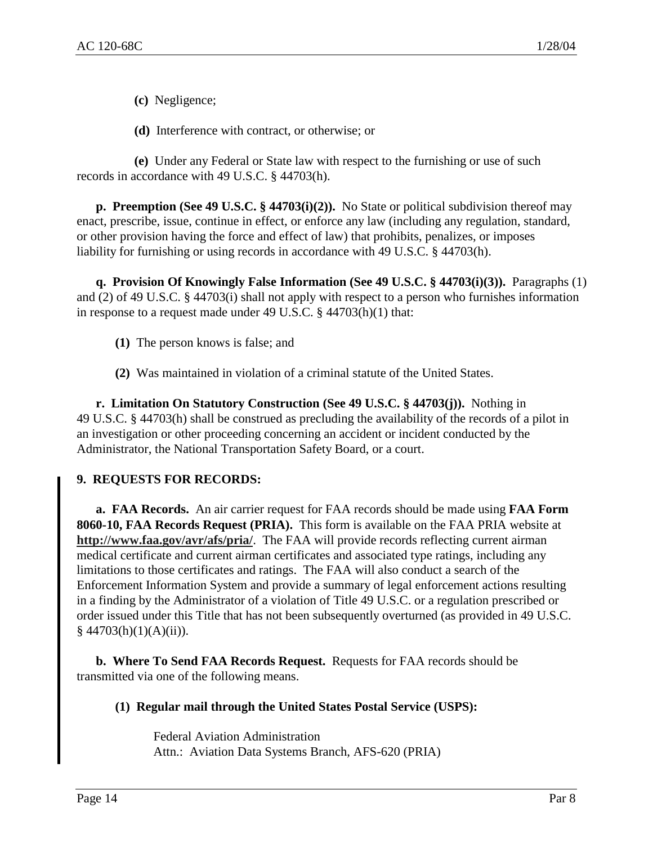**(c)** Negligence;

**(d)** Interference with contract, or otherwise; or

**(e)** Under any Federal or State law with respect to the furnishing or use of such records in accordance with 49 U.S.C. § 44703(h).

**p. Preemption (See 49 U.S.C. § 44703(i)(2)).** No State or political subdivision thereof may enact, prescribe, issue, continue in effect, or enforce any law (including any regulation, standard, or other provision having the force and effect of law) that prohibits, penalizes, or imposes liability for furnishing or using records in accordance with 49 U.S.C. § 44703(h).

**q. Provision Of Knowingly False Information (See 49 U.S.C. § 44703(i)(3)).** Paragraphs (1) and (2) of 49 U.S.C. § 44703(i) shall not apply with respect to a person who furnishes information in response to a request made under 49 U.S.C. § 44703(h)(1) that:

- **(1)** The person knows is false; and
- **(2)** Was maintained in violation of a criminal statute of the United States.

**r. Limitation On Statutory Construction (See 49 U.S.C. § 44703(j)).** Nothing in 49 U.S.C. § 44703(h) shall be construed as precluding the availability of the records of a pilot in an investigation or other proceeding concerning an accident or incident conducted by the Administrator, the National Transportation Safety Board, or a court.

# **9. REQUESTS FOR RECORDS:**

**a. FAA Records.** An air carrier request for FAA records should be made using **FAA Form 8060-10, FAA Records Request (PRIA).** This form is available on the FAA PRIA website at **http://www.faa.gov/avr/afs/pria/**. The FAA will provide records reflecting current airman medical certificate and current airman certificates and associated type ratings, including any limitations to those certificates and ratings. The FAA will also conduct a search of the Enforcement Information System and provide a summary of legal enforcement actions resulting in a finding by the Administrator of a violation of Title 49 U.S.C. or a regulation prescribed or order issued under this Title that has not been subsequently overturned (as provided in 49 U.S.C.  $§$  44703(h)(1)(A)(ii)).

**b. Where To Send FAA Records Request.** Requests for FAA records should be transmitted via one of the following means.

# **(1) Regular mail through the United States Postal Service (USPS):**

Federal Aviation Administration Attn.: Aviation Data Systems Branch, AFS-620 (PRIA)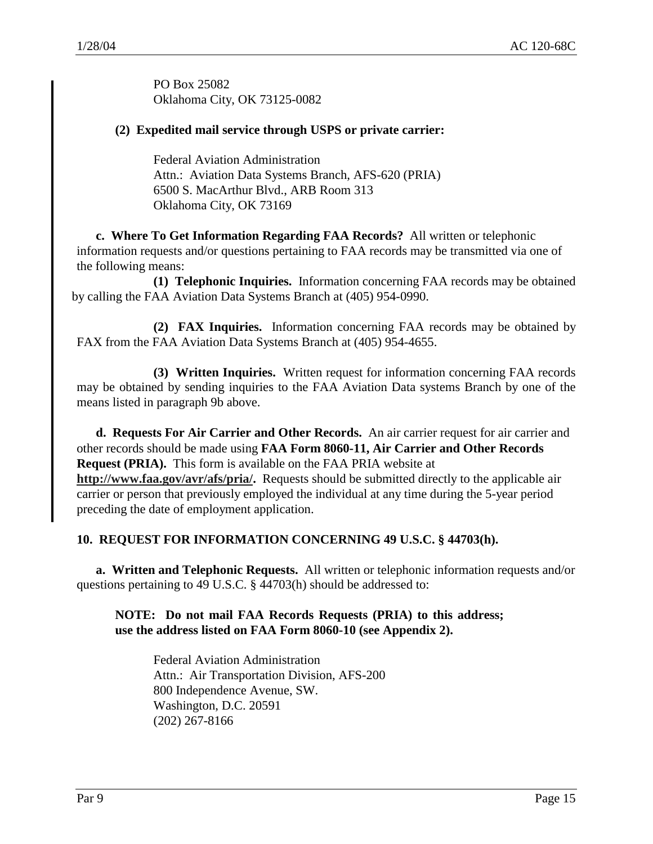PO Box 25082 Oklahoma City, OK 73125-0082

# **(2) Expedited mail service through USPS or private carrier:**

Federal Aviation Administration Attn.: Aviation Data Systems Branch, AFS-620 (PRIA) 6500 S. MacArthur Blvd., ARB Room 313 Oklahoma City, OK 73169

**c. Where To Get Information Regarding FAA Records?** All written or telephonic information requests and/or questions pertaining to FAA records may be transmitted via one of the following means:

**(1) Telephonic Inquiries.** Information concerning FAA records may be obtained by calling the FAA Aviation Data Systems Branch at (405) 954-0990.

**(2) FAX Inquiries.** Information concerning FAA records may be obtained by FAX from the FAA Aviation Data Systems Branch at (405) 954-4655.

**(3) Written Inquiries.** Written request for information concerning FAA records may be obtained by sending inquiries to the FAA Aviation Data systems Branch by one of the means listed in paragraph 9b above.

**d. Requests For Air Carrier and Other Records.** An air carrier request for air carrier and other records should be made using **FAA Form 8060-11, Air Carrier and Other Records Request (PRIA).** This form is available on the FAA PRIA website at **http://www.faa.gov/avr/afs/pria/.** Requests should be submitted directly to the applicable air carrier or person that previously employed the individual at any time during the 5-year period preceding the date of employment application.

# **10. REQUEST FOR INFORMATION CONCERNING 49 U.S.C. § 44703(h).**

**a. Written and Telephonic Requests.** All written or telephonic information requests and/or questions pertaining to 49 U.S.C. § 44703(h) should be addressed to:

# **NOTE: Do not mail FAA Records Requests (PRIA) to this address; use the address listed on FAA Form 8060-10 (see Appendix 2).**

Federal Aviation Administration Attn.: Air Transportation Division, AFS-200 800 Independence Avenue, SW. Washington, D.C. 20591 (202) 267-8166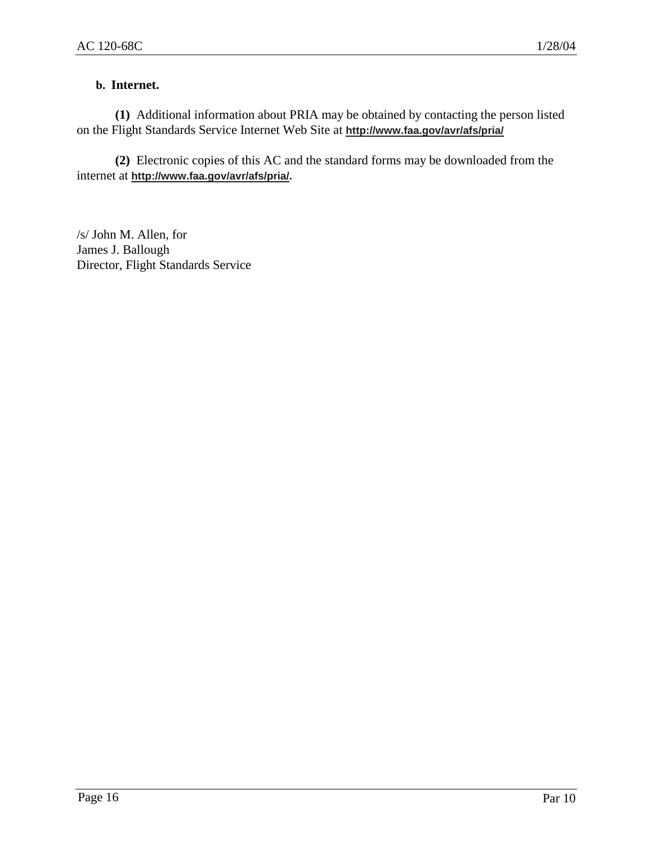# **b. Internet.**

**(1)** Additional information about PRIA may be obtained by contacting the person listed on the Flight Standards Service Internet Web Site at **http://www.faa.gov/avr/afs/pria/**

**(2)** Electronic copies of this AC and the standard forms may be downloaded from the internet at **http://www.faa.gov/avr/afs/pria/.**

/s/ John M. Allen, for James J. Ballough Director, Flight Standards Service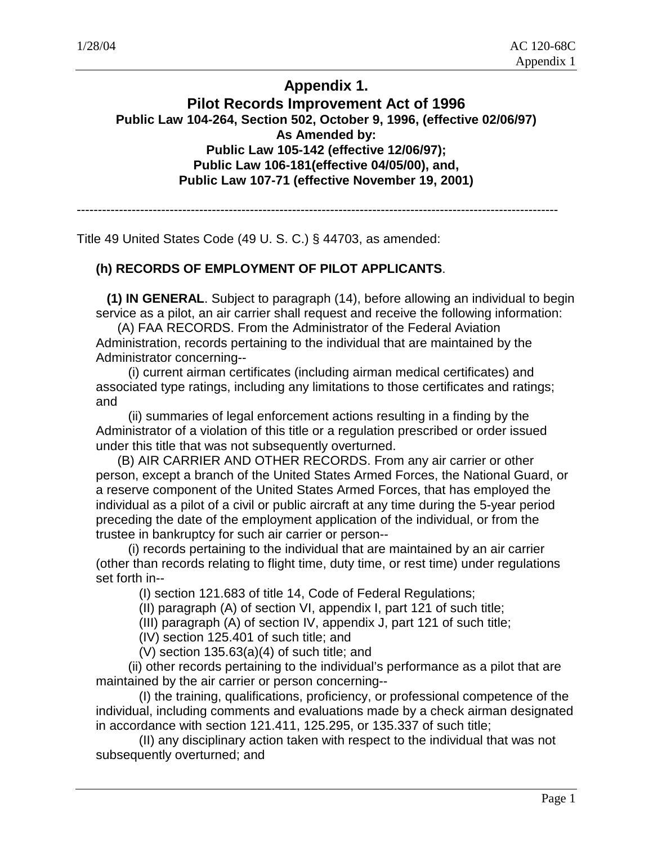# **Appendix 1.**

# **Pilot Records Improvement Act of 1996 Public Law 104-264, Section 502, October 9, 1996, (effective 02/06/97) As Amended by: Public Law 105-142 (effective 12/06/97); Public Law 106-181(effective 04/05/00), and, Public Law 107-71 (effective November 19, 2001)**

------------------------------------------------------------------------------------------------------------------

Title 49 United States Code (49 U. S. C.) § 44703, as amended:

# **(h) RECORDS OF EMPLOYMENT OF PILOT APPLICANTS**.

 **(1) IN GENERAL**. Subject to paragraph (14), before allowing an individual to begin service as a pilot, an air carrier shall request and receive the following information:

 (A) FAA RECORDS. From the Administrator of the Federal Aviation Administration, records pertaining to the individual that are maintained by the Administrator concerning--

 (i) current airman certificates (including airman medical certificates) and associated type ratings, including any limitations to those certificates and ratings; and

 (ii) summaries of legal enforcement actions resulting in a finding by the Administrator of a violation of this title or a regulation prescribed or order issued under this title that was not subsequently overturned.

 (B) AIR CARRIER AND OTHER RECORDS. From any air carrier or other person, except a branch of the United States Armed Forces, the National Guard, or a reserve component of the United States Armed Forces, that has employed the individual as a pilot of a civil or public aircraft at any time during the 5-year period preceding the date of the employment application of the individual, or from the trustee in bankruptcy for such air carrier or person--

 (i) records pertaining to the individual that are maintained by an air carrier (other than records relating to flight time, duty time, or rest time) under regulations set forth in--

(I) section 121.683 of title 14, Code of Federal Regulations;

(II) paragraph (A) of section VI, appendix I, part 121 of such title;

(III) paragraph (A) of section IV, appendix J, part 121 of such title;

(IV) section 125.401 of such title; and

(V) section 135.63(a)(4) of such title; and

 (ii) other records pertaining to the individual's performance as a pilot that are maintained by the air carrier or person concerning--

 (I) the training, qualifications, proficiency, or professional competence of the individual, including comments and evaluations made by a check airman designated in accordance with section 121.411, 125.295, or 135.337 of such title;

 (II) any disciplinary action taken with respect to the individual that was not subsequently overturned; and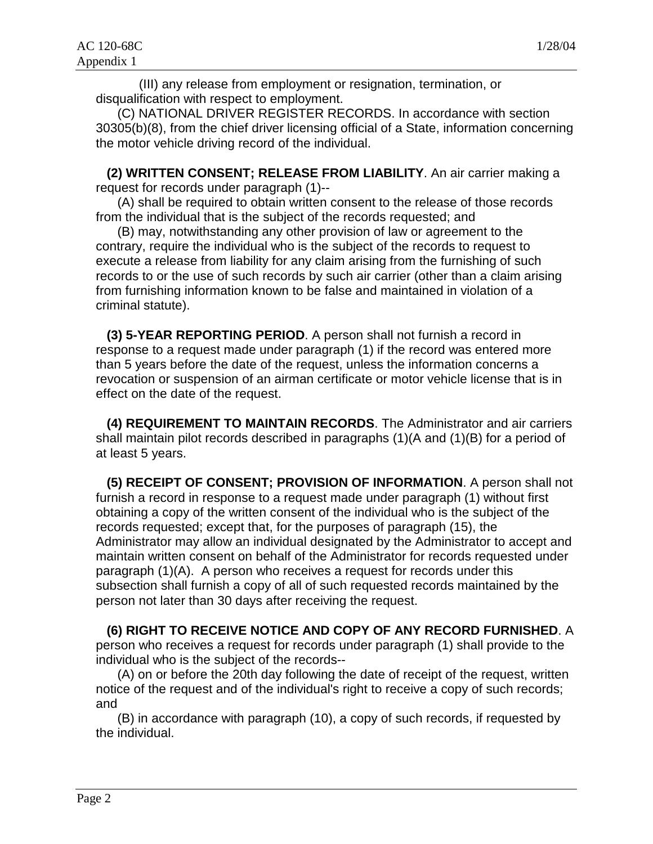(III) any release from employment or resignation, termination, or disqualification with respect to employment.

 (C) NATIONAL DRIVER REGISTER RECORDS. In accordance with section 30305(b)(8), from the chief driver licensing official of a State, information concerning the motor vehicle driving record of the individual.

 **(2) WRITTEN CONSENT; RELEASE FROM LIABILITY**. An air carrier making a request for records under paragraph (1)--

 (A) shall be required to obtain written consent to the release of those records from the individual that is the subject of the records requested; and

 (B) may, notwithstanding any other provision of law or agreement to the contrary, require the individual who is the subject of the records to request to execute a release from liability for any claim arising from the furnishing of such records to or the use of such records by such air carrier (other than a claim arising from furnishing information known to be false and maintained in violation of a criminal statute).

 **(3) 5-YEAR REPORTING PERIOD**. A person shall not furnish a record in response to a request made under paragraph (1) if the record was entered more than 5 years before the date of the request, unless the information concerns a revocation or suspension of an airman certificate or motor vehicle license that is in effect on the date of the request.

 **(4) REQUIREMENT TO MAINTAIN RECORDS**. The Administrator and air carriers shall maintain pilot records described in paragraphs (1)(A and (1)(B) for a period of at least 5 years.

 **(5) RECEIPT OF CONSENT; PROVISION OF INFORMATION**. A person shall not furnish a record in response to a request made under paragraph (1) without first obtaining a copy of the written consent of the individual who is the subject of the records requested; except that, for the purposes of paragraph (15), the Administrator may allow an individual designated by the Administrator to accept and maintain written consent on behalf of the Administrator for records requested under paragraph (1)(A). A person who receives a request for records under this subsection shall furnish a copy of all of such requested records maintained by the person not later than 30 days after receiving the request.

# **(6) RIGHT TO RECEIVE NOTICE AND COPY OF ANY RECORD FURNISHED**. A

person who receives a request for records under paragraph (1) shall provide to the individual who is the subject of the records--

 (A) on or before the 20th day following the date of receipt of the request, written notice of the request and of the individual's right to receive a copy of such records; and

 (B) in accordance with paragraph (10), a copy of such records, if requested by the individual.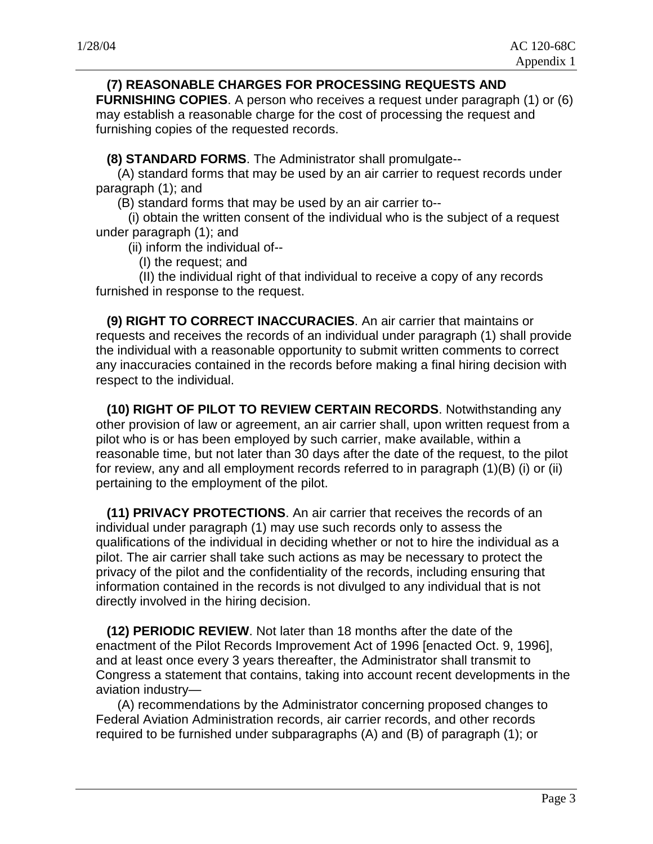# **(7) REASONABLE CHARGES FOR PROCESSING REQUESTS AND**

**FURNISHING COPIES**. A person who receives a request under paragraph (1) or (6) may establish a reasonable charge for the cost of processing the request and furnishing copies of the requested records.

**(8) STANDARD FORMS**. The Administrator shall promulgate--

 (A) standard forms that may be used by an air carrier to request records under paragraph (1); and

(B) standard forms that may be used by an air carrier to--

 (i) obtain the written consent of the individual who is the subject of a request under paragraph (1); and

(ii) inform the individual of--

(I) the request; and

 (II) the individual right of that individual to receive a copy of any records furnished in response to the request.

 **(9) RIGHT TO CORRECT INACCURACIES**. An air carrier that maintains or requests and receives the records of an individual under paragraph (1) shall provide the individual with a reasonable opportunity to submit written comments to correct any inaccuracies contained in the records before making a final hiring decision with respect to the individual.

 **(10) RIGHT OF PILOT TO REVIEW CERTAIN RECORDS**. Notwithstanding any other provision of law or agreement, an air carrier shall, upon written request from a pilot who is or has been employed by such carrier, make available, within a reasonable time, but not later than 30 days after the date of the request, to the pilot for review, any and all employment records referred to in paragraph (1)(B) (i) or (ii) pertaining to the employment of the pilot.

 **(11) PRIVACY PROTECTIONS**. An air carrier that receives the records of an individual under paragraph (1) may use such records only to assess the qualifications of the individual in deciding whether or not to hire the individual as a pilot. The air carrier shall take such actions as may be necessary to protect the privacy of the pilot and the confidentiality of the records, including ensuring that information contained in the records is not divulged to any individual that is not directly involved in the hiring decision.

 **(12) PERIODIC REVIEW**. Not later than 18 months after the date of the enactment of the Pilot Records Improvement Act of 1996 [enacted Oct. 9, 1996], and at least once every 3 years thereafter, the Administrator shall transmit to Congress a statement that contains, taking into account recent developments in the aviation industry—

 (A) recommendations by the Administrator concerning proposed changes to Federal Aviation Administration records, air carrier records, and other records required to be furnished under subparagraphs (A) and (B) of paragraph (1); or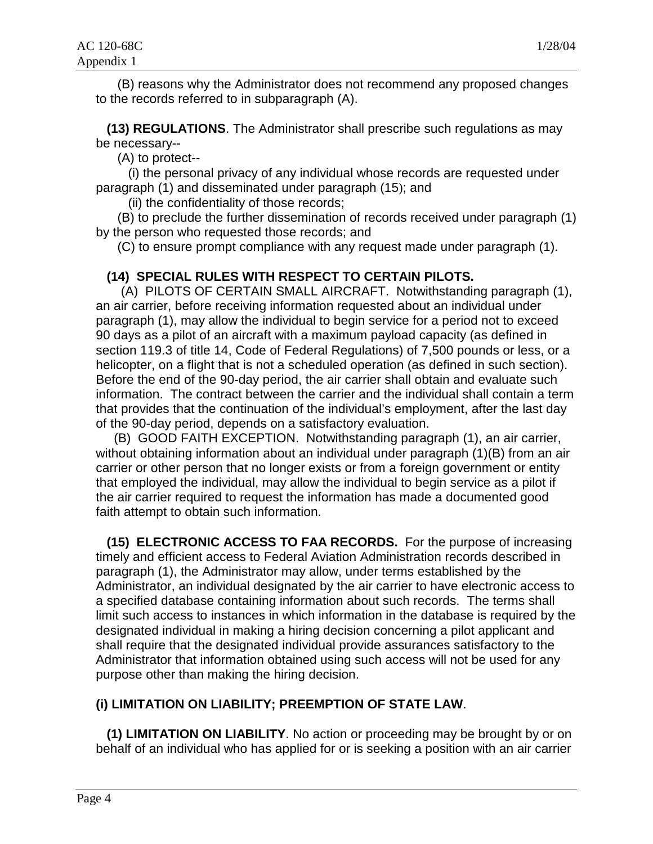(B) reasons why the Administrator does not recommend any proposed changes to the records referred to in subparagraph (A).

 **(13) REGULATIONS**. The Administrator shall prescribe such regulations as may be necessary--

(A) to protect--

 (i) the personal privacy of any individual whose records are requested under paragraph (1) and disseminated under paragraph (15); and

(ii) the confidentiality of those records;

 (B) to preclude the further dissemination of records received under paragraph (1) by the person who requested those records; and

(C) to ensure prompt compliance with any request made under paragraph (1).

# **(14) SPECIAL RULES WITH RESPECT TO CERTAIN PILOTS.**

 (A) PILOTS OF CERTAIN SMALL AIRCRAFT. Notwithstanding paragraph (1), an air carrier, before receiving information requested about an individual under paragraph (1), may allow the individual to begin service for a period not to exceed 90 days as a pilot of an aircraft with a maximum payload capacity (as defined in section 119.3 of title 14, Code of Federal Regulations) of 7,500 pounds or less, or a helicopter, on a flight that is not a scheduled operation (as defined in such section). Before the end of the 90-day period, the air carrier shall obtain and evaluate such information. The contract between the carrier and the individual shall contain a term that provides that the continuation of the individual's employment, after the last day of the 90-day period, depends on a satisfactory evaluation.

 (B) GOOD FAITH EXCEPTION. Notwithstanding paragraph (1), an air carrier, without obtaining information about an individual under paragraph (1)(B) from an air carrier or other person that no longer exists or from a foreign government or entity that employed the individual, may allow the individual to begin service as a pilot if the air carrier required to request the information has made a documented good faith attempt to obtain such information.

 **(15) ELECTRONIC ACCESS TO FAA RECORDS.** For the purpose of increasing timely and efficient access to Federal Aviation Administration records described in paragraph (1), the Administrator may allow, under terms established by the Administrator, an individual designated by the air carrier to have electronic access to a specified database containing information about such records. The terms shall limit such access to instances in which information in the database is required by the designated individual in making a hiring decision concerning a pilot applicant and shall require that the designated individual provide assurances satisfactory to the Administrator that information obtained using such access will not be used for any purpose other than making the hiring decision.

# **(i) LIMITATION ON LIABILITY; PREEMPTION OF STATE LAW**.

 **(1) LIMITATION ON LIABILITY**. No action or proceeding may be brought by or on behalf of an individual who has applied for or is seeking a position with an air carrier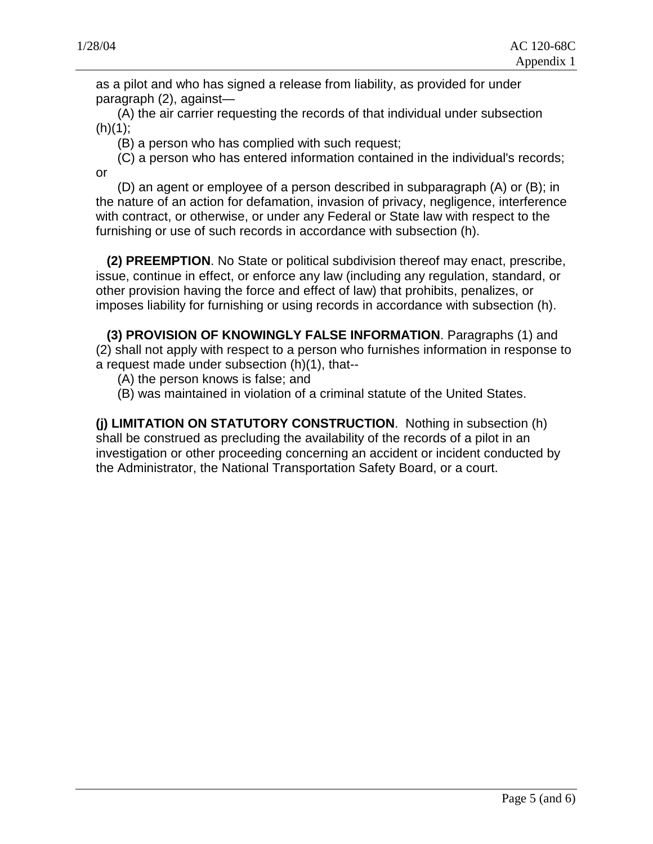as a pilot and who has signed a release from liability, as provided for under paragraph (2), against—

 (A) the air carrier requesting the records of that individual under subsection  $(h)(1)$ ;

(B) a person who has complied with such request;

 (C) a person who has entered information contained in the individual's records; or

 (D) an agent or employee of a person described in subparagraph (A) or (B); in the nature of an action for defamation, invasion of privacy, negligence, interference with contract, or otherwise, or under any Federal or State law with respect to the furnishing or use of such records in accordance with subsection (h).

 **(2) PREEMPTION**. No State or political subdivision thereof may enact, prescribe, issue, continue in effect, or enforce any law (including any regulation, standard, or other provision having the force and effect of law) that prohibits, penalizes, or imposes liability for furnishing or using records in accordance with subsection (h).

 **(3) PROVISION OF KNOWINGLY FALSE INFORMATION**. Paragraphs (1) and (2) shall not apply with respect to a person who furnishes information in response to a request made under subsection (h)(1), that--

- (A) the person knows is false; and
- (B) was maintained in violation of a criminal statute of the United States.

**(j) LIMITATION ON STATUTORY CONSTRUCTION**. Nothing in subsection (h) shall be construed as precluding the availability of the records of a pilot in an investigation or other proceeding concerning an accident or incident conducted by the Administrator, the National Transportation Safety Board, or a court.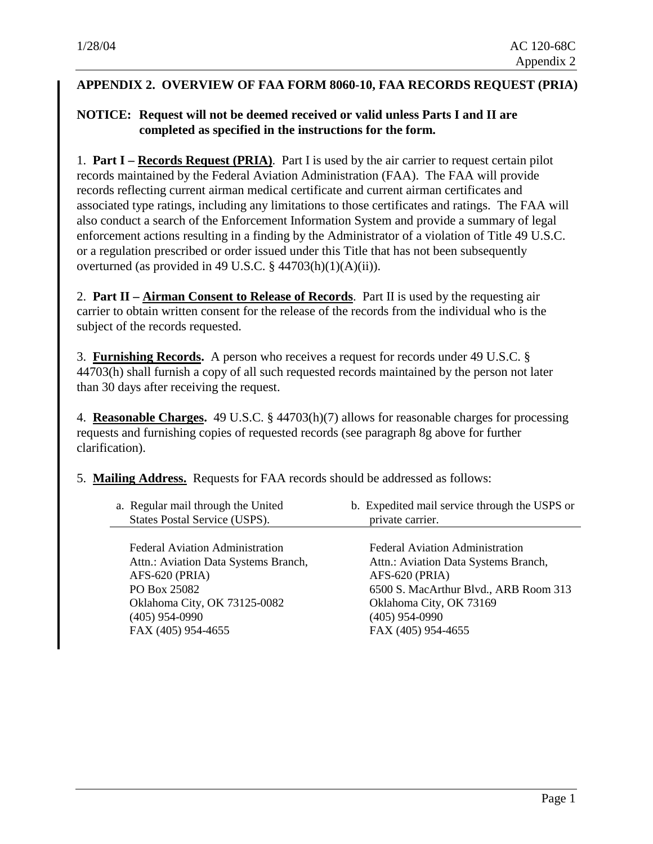#### **APPENDIX 2. OVERVIEW OF FAA FORM 8060-10, FAA RECORDS REQUEST (PRIA)**

# **NOTICE: Request will not be deemed received or valid unless Parts I and II are completed as specified in the instructions for the form.**

1. **Part I – Records Request (PRIA)**. Part I is used by the air carrier to request certain pilot records maintained by the Federal Aviation Administration (FAA). The FAA will provide records reflecting current airman medical certificate and current airman certificates and associated type ratings, including any limitations to those certificates and ratings. The FAA will also conduct a search of the Enforcement Information System and provide a summary of legal enforcement actions resulting in a finding by the Administrator of a violation of Title 49 U.S.C. or a regulation prescribed or order issued under this Title that has not been subsequently overturned (as provided in 49 U.S.C. § 44703(h)(1)(A)(ii)).

2. **Part II – Airman Consent to Release of Records**. Part II is used by the requesting air carrier to obtain written consent for the release of the records from the individual who is the subject of the records requested.

3. **Furnishing Records.** A person who receives a request for records under 49 U.S.C. § 44703(h) shall furnish a copy of all such requested records maintained by the person not later than 30 days after receiving the request.

4. **Reasonable Charges.** 49 U.S.C. § 44703(h)(7) allows for reasonable charges for processing requests and furnishing copies of requested records (see paragraph 8g above for further clarification).

5. **Mailing Address.** Requests for FAA records should be addressed as follows:

a. Regular mail through the United States Postal Service (USPS). b. Expedited mail service through the USPS or private carrier.

Federal Aviation Administration Attn.: Aviation Data Systems Branch, AFS-620 (PRIA) PO Box 25082 Oklahoma City, OK 73125-0082 (405) 954-0990 FAX (405) 954-4655

Federal Aviation Administration Attn.: Aviation Data Systems Branch, AFS-620 (PRIA) 6500 S. MacArthur Blvd., ARB Room 313 Oklahoma City, OK 73169 (405) 954-0990 FAX (405) 954-4655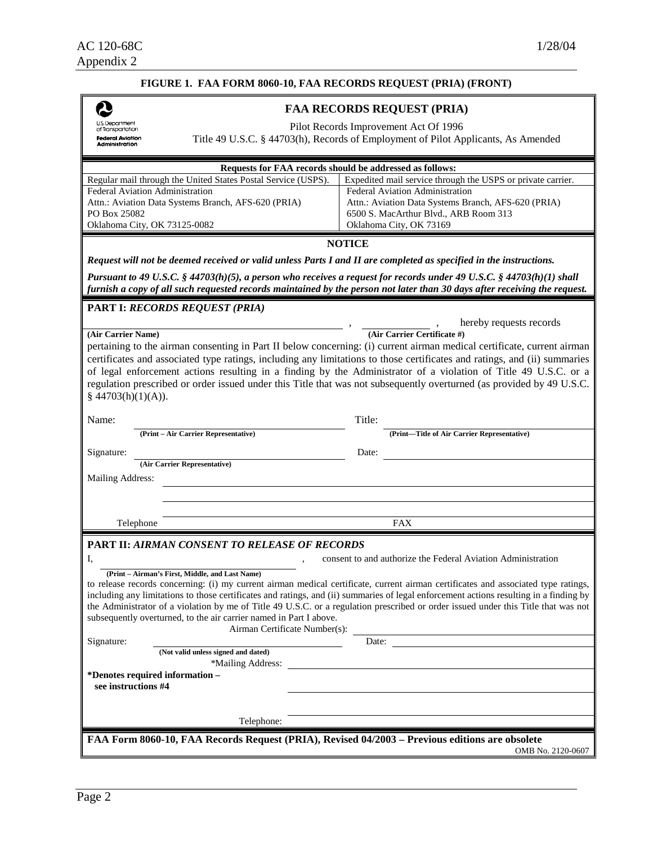|                                                                                                | FIGURE 1. FAA FORM 8060-10, FAA RECORDS REQUEST (PRIA) (FRONT)                                                                                                                                                                                    |  |  |
|------------------------------------------------------------------------------------------------|---------------------------------------------------------------------------------------------------------------------------------------------------------------------------------------------------------------------------------------------------|--|--|
|                                                                                                | <b>FAA RECORDS REQUEST (PRIA)</b>                                                                                                                                                                                                                 |  |  |
| U.S. Department<br>of Transportation                                                           | Pilot Records Improvement Act Of 1996                                                                                                                                                                                                             |  |  |
| <b>Federal Aviation</b><br>Administration                                                      | Title 49 U.S.C. § 44703(h), Records of Employment of Pilot Applicants, As Amended                                                                                                                                                                 |  |  |
|                                                                                                |                                                                                                                                                                                                                                                   |  |  |
|                                                                                                | Requests for FAA records should be addressed as follows:                                                                                                                                                                                          |  |  |
| Regular mail through the United States Postal Service (USPS).                                  | Expedited mail service through the USPS or private carrier.                                                                                                                                                                                       |  |  |
| <b>Federal Aviation Administration</b>                                                         | Federal Aviation Administration                                                                                                                                                                                                                   |  |  |
| Attn.: Aviation Data Systems Branch, AFS-620 (PRIA)                                            | Attn.: Aviation Data Systems Branch, AFS-620 (PRIA)                                                                                                                                                                                               |  |  |
| PO Box 25082                                                                                   | 6500 S. MacArthur Blvd., ARB Room 313                                                                                                                                                                                                             |  |  |
| Oklahoma City, OK 73125-0082                                                                   | Oklahoma City, OK 73169                                                                                                                                                                                                                           |  |  |
|                                                                                                | <b>NOTICE</b>                                                                                                                                                                                                                                     |  |  |
|                                                                                                | Request will not be deemed received or valid unless Parts I and II are completed as specified in the instructions.                                                                                                                                |  |  |
|                                                                                                |                                                                                                                                                                                                                                                   |  |  |
|                                                                                                | Pursuant to 49 U.S.C. § 44703(h)(5), a person who receives a request for records under 49 U.S.C. § 44703(h)(1) shall<br>furnish a copy of all such requested records maintained by the person not later than 30 days after receiving the request. |  |  |
|                                                                                                |                                                                                                                                                                                                                                                   |  |  |
| PART I: RECORDS REQUEST (PRIA)                                                                 |                                                                                                                                                                                                                                                   |  |  |
|                                                                                                | hereby requests records                                                                                                                                                                                                                           |  |  |
| (Air Carrier Name)                                                                             | (Air Carrier Certificate #)                                                                                                                                                                                                                       |  |  |
|                                                                                                | pertaining to the airman consenting in Part II below concerning: (i) current airman medical certificate, current airman                                                                                                                           |  |  |
|                                                                                                | certificates and associated type ratings, including any limitations to those certificates and ratings, and (ii) summaries                                                                                                                         |  |  |
|                                                                                                | of legal enforcement actions resulting in a finding by the Administrator of a violation of Title 49 U.S.C. or a                                                                                                                                   |  |  |
|                                                                                                | regulation prescribed or order issued under this Title that was not subsequently overturned (as provided by 49 U.S.C.                                                                                                                             |  |  |
| § $44703(h)(1)(A)$ ).                                                                          |                                                                                                                                                                                                                                                   |  |  |
|                                                                                                |                                                                                                                                                                                                                                                   |  |  |
| Name:                                                                                          | Title:                                                                                                                                                                                                                                            |  |  |
| (Print - Air Carrier Representative)                                                           | (Print-Title of Air Carrier Representative)                                                                                                                                                                                                       |  |  |
| Signature:                                                                                     | Date:                                                                                                                                                                                                                                             |  |  |
| (Air Carrier Representative)                                                                   |                                                                                                                                                                                                                                                   |  |  |
| <b>Mailing Address:</b>                                                                        |                                                                                                                                                                                                                                                   |  |  |
|                                                                                                |                                                                                                                                                                                                                                                   |  |  |
|                                                                                                |                                                                                                                                                                                                                                                   |  |  |
| Telephone                                                                                      | FAX                                                                                                                                                                                                                                               |  |  |
|                                                                                                |                                                                                                                                                                                                                                                   |  |  |
| PART II: AIRMAN CONSENT TO RELEASE OF RECORDS                                                  |                                                                                                                                                                                                                                                   |  |  |
| I,                                                                                             | consent to and authorize the Federal Aviation Administration                                                                                                                                                                                      |  |  |
| (Print - Airman's First, Middle, and Last Name)                                                |                                                                                                                                                                                                                                                   |  |  |
|                                                                                                | to release records concerning: (i) my current airman medical certificate, current airman certificates and associated type ratings,                                                                                                                |  |  |
|                                                                                                | including any limitations to those certificates and ratings, and (ii) summaries of legal enforcement actions resulting in a finding by                                                                                                            |  |  |
|                                                                                                | the Administrator of a violation by me of Title 49 U.S.C. or a regulation prescribed or order issued under this Title that was not                                                                                                                |  |  |
| subsequently overturned, to the air carrier named in Part I above.                             |                                                                                                                                                                                                                                                   |  |  |
| Airman Certificate Number(s):                                                                  |                                                                                                                                                                                                                                                   |  |  |
| Signature:<br>(Not valid unless signed and dated)                                              | Date:                                                                                                                                                                                                                                             |  |  |
| *Mailing Address:                                                                              |                                                                                                                                                                                                                                                   |  |  |
| *Denotes required information –                                                                |                                                                                                                                                                                                                                                   |  |  |
| see instructions #4                                                                            |                                                                                                                                                                                                                                                   |  |  |
|                                                                                                |                                                                                                                                                                                                                                                   |  |  |
|                                                                                                |                                                                                                                                                                                                                                                   |  |  |
| Telephone:                                                                                     |                                                                                                                                                                                                                                                   |  |  |
| FAA Form 8060-10, FAA Records Request (PRIA), Revised 04/2003 – Previous editions are obsolete |                                                                                                                                                                                                                                                   |  |  |
|                                                                                                | OMB No. 2120-0607                                                                                                                                                                                                                                 |  |  |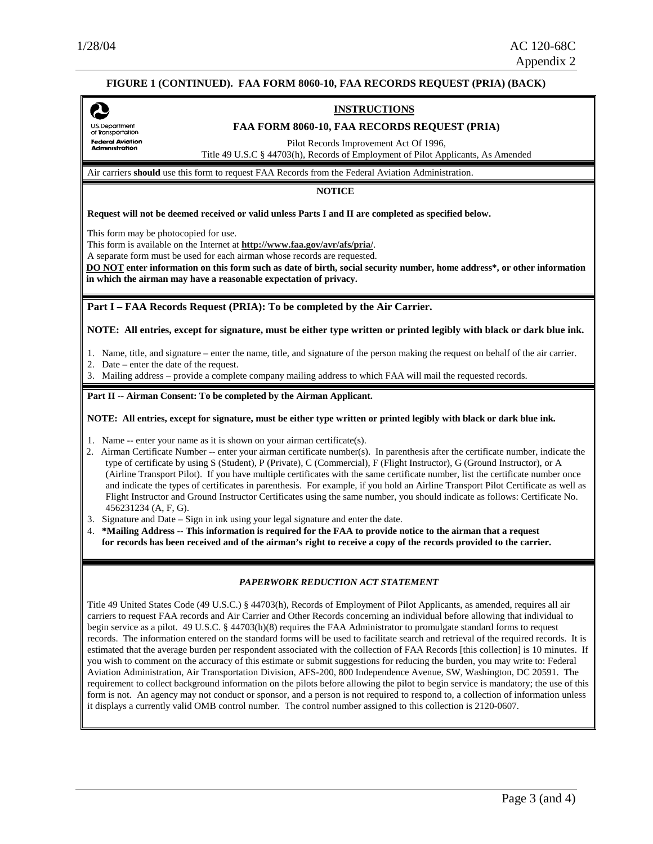U.S. Department<br>of Transportation **Federal Aviation** Administration

#### **FIGURE 1 (CONTINUED). FAA FORM 8060-10, FAA RECORDS REQUEST (PRIA) (BACK)**

#### **INSTRUCTIONS**

#### **FAA FORM 8060-10, FAA RECORDS REQUEST (PRIA)**

Pilot Records Improvement Act Of 1996,

Title 49 U.S.C § 44703(h), Records of Employment of Pilot Applicants, As Amended

Air carriers **should** use this form to request FAA Records from the Federal Aviation Administration.

**NOTICE** 

**Request will not be deemed received or valid unless Parts I and II are completed as specified below.** 

This form may be photocopied for use.

This form is available on the Internet at **http://www.faa.gov/avr/afs/pria/**.

A separate form must be used for each airman whose records are requested.

**DO NOT enter information on this form such as date of birth, social security number, home address\*, or other information in which the airman may have a reasonable expectation of privacy.**

**Part I – FAA Records Request (PRIA): To be completed by the Air Carrier.** 

**NOTE: All entries, except for signature, must be either type written or printed legibly with black or dark blue ink.** 

1. Name, title, and signature – enter the name, title, and signature of the person making the request on behalf of the air carrier.

2. Date – enter the date of the request.

3. Mailing address – provide a complete company mailing address to which FAA will mail the requested records.

#### Part II -- Airman Consent: To be completed by the Airman Applicant.

**NOTE: All entries, except for signature, must be either type written or printed legibly with black or dark blue ink.** 

1. Name -- enter your name as it is shown on your airman certificate(s).

- 2. Airman Certificate Number -- enter your airman certificate number(s). In parenthesis after the certificate number, indicate the type of certificate by using S (Student), P (Private), C (Commercial), F (Flight Instructor), G (Ground Instructor), or A (Airline Transport Pilot). If you have multiple certificates with the same certificate number, list the certificate number once and indicate the types of certificates in parenthesis. For example, if you hold an Airline Transport Pilot Certificate as well as Flight Instructor and Ground Instructor Certificates using the same number, you should indicate as follows: Certificate No. 456231234 (A, F, G).
- 3. Signature and Date Sign in ink using your legal signature and enter the date.
- 4. **\*Mailing Address -- This information is required for the FAA to provide notice to the airman that a request for records has been received and of the airman's right to receive a copy of the records provided to the carrier.**

#### *PAPERWORK REDUCTION ACT STATEMENT*

Title 49 United States Code (49 U.S.C.) § 44703(h), Records of Employment of Pilot Applicants, as amended, requires all air carriers to request FAA records and Air Carrier and Other Records concerning an individual before allowing that individual to begin service as a pilot. 49 U.S.C. § 44703(h)(8) requires the FAA Administrator to promulgate standard forms to request records. The information entered on the standard forms will be used to facilitate search and retrieval of the required records. It is estimated that the average burden per respondent associated with the collection of FAA Records [this collection] is 10 minutes. If you wish to comment on the accuracy of this estimate or submit suggestions for reducing the burden, you may write to: Federal Aviation Administration, Air Transportation Division, AFS-200, 800 Independence Avenue, SW, Washington, DC 20591. The requirement to collect background information on the pilots before allowing the pilot to begin service is mandatory; the use of this form is not. An agency may not conduct or sponsor, and a person is not required to respond to, a collection of information unless it displays a currently valid OMB control number. The control number assigned to this collection is 2120-0607.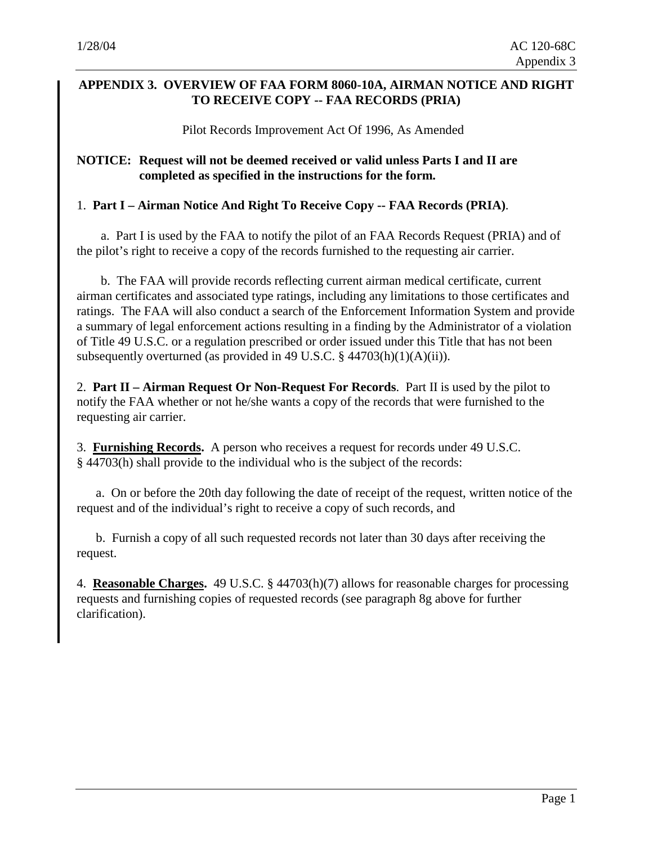# **APPENDIX 3. OVERVIEW OF FAA FORM 8060-10A, AIRMAN NOTICE AND RIGHT TO RECEIVE COPY -- FAA RECORDS (PRIA)**

Pilot Records Improvement Act Of 1996, As Amended

#### **NOTICE: Request will not be deemed received or valid unless Parts I and II are completed as specified in the instructions for the form.**

#### 1. **Part I – Airman Notice And Right To Receive Copy -- FAA Records (PRIA)**.

a. Part I is used by the FAA to notify the pilot of an FAA Records Request (PRIA) and of the pilot's right to receive a copy of the records furnished to the requesting air carrier.

b. The FAA will provide records reflecting current airman medical certificate, current airman certificates and associated type ratings, including any limitations to those certificates and ratings. The FAA will also conduct a search of the Enforcement Information System and provide a summary of legal enforcement actions resulting in a finding by the Administrator of a violation of Title 49 U.S.C. or a regulation prescribed or order issued under this Title that has not been subsequently overturned (as provided in 49 U.S.C. § 44703(h)(1)(A)(ii)).

2. **Part II – Airman Request Or Non-Request For Records**. Part II is used by the pilot to notify the FAA whether or not he/she wants a copy of the records that were furnished to the requesting air carrier.

3. **Furnishing Records.** A person who receives a request for records under 49 U.S.C. § 44703(h) shall provide to the individual who is the subject of the records:

a. On or before the 20th day following the date of receipt of the request, written notice of the request and of the individual's right to receive a copy of such records, and

b. Furnish a copy of all such requested records not later than 30 days after receiving the request.

4. **Reasonable Charges.** 49 U.S.C. § 44703(h)(7) allows for reasonable charges for processing requests and furnishing copies of requested records (see paragraph 8g above for further clarification).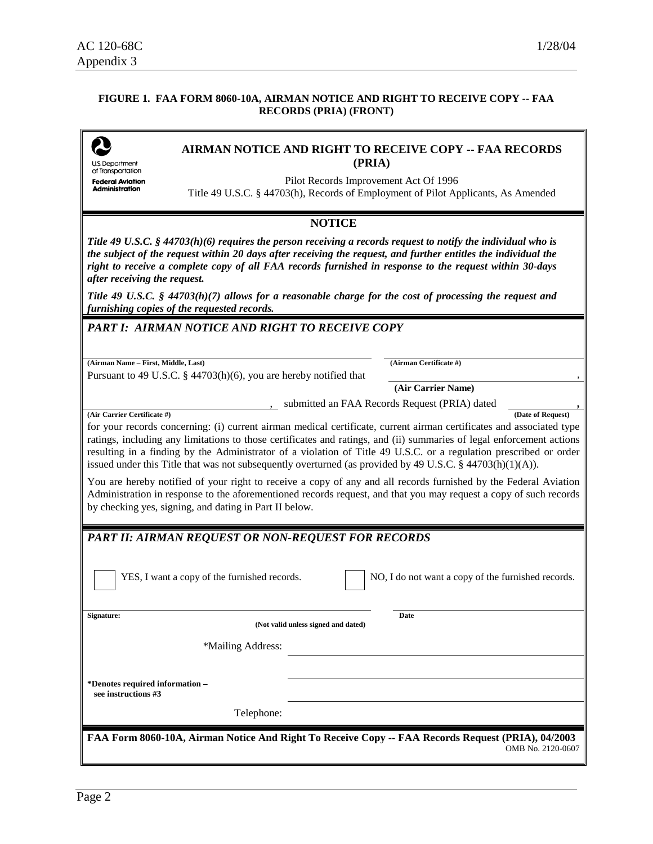#### **FIGURE 1. FAA FORM 8060-10A, AIRMAN NOTICE AND RIGHT TO RECEIVE COPY -- FAA RECORDS (PRIA) (FRONT)**

| U.S. Department |
|-----------------|

#### **AIRMAN NOTICE AND RIGHT TO RECEIVE COPY -- FAA RECORDS (PRIA)**

of Transportation **Federal Aviation Administration** 

Pilot Records Improvement Act Of 1996 Title 49 U.S.C. § 44703(h), Records of Employment of Pilot Applicants, As Amended

#### **NOTICE**

*Title 49 U.S.C. § 44703(h)(6) requires the person receiving a records request to notify the individual who is the subject of the request within 20 days after receiving the request, and further entitles the individual the right to receive a complete copy of all FAA records furnished in response to the request within 30-days after receiving the request.* 

*Title 49 U.S.C. § 44703(h)(7) allows for a reasonable charge for the cost of processing the request and furnishing copies of the requested records.* 

#### *PART I: AIRMAN NOTICE AND RIGHT TO RECEIVE COPY*

**(Airman Name – First, Middle, Last) (Airman Certificate #)** 

Pursuant to 49 U.S.C.  $\S$  44703(h)(6), you are hereby notified that

**(Air Carrier Name)**

<sub>1</sub>, submitted an FAA Records Request (PRIA) dated <br>
<u>(Date of Request)</u>

**(Air Carrier Certificate #)** 

for your records concerning: (i) current airman medical certificate, current airman certificates and associated type ratings, including any limitations to those certificates and ratings, and (ii) summaries of legal enforcement actions resulting in a finding by the Administrator of a violation of Title 49 U.S.C. or a regulation prescribed or order issued under this Title that was not subsequently overturned (as provided by 49 U.S.C. § 44703(h)(1)(A)).

You are hereby notified of your right to receive a copy of any and all records furnished by the Federal Aviation Administration in response to the aforementioned records request, and that you may request a copy of such records by checking yes, signing, and dating in Part II below.

# *PART II: AIRMAN REQUEST OR NON-REQUEST FOR RECORDS*

YES, I want a copy of the furnished records.

| NO, I do not want a copy of the furnished records. |
|----------------------------------------------------|
|----------------------------------------------------|

**Date** 

**Signature:** 

**(Not valid unless signed and dated)**

\*Mailing Address:

**\*Denotes required information – see instructions #3**

Telephone:

**FAA Form 8060-10A, Airman Notice And Right To Receive Copy -- FAA Records Request (PRIA), 04/2003**  OMB No. 2120-0607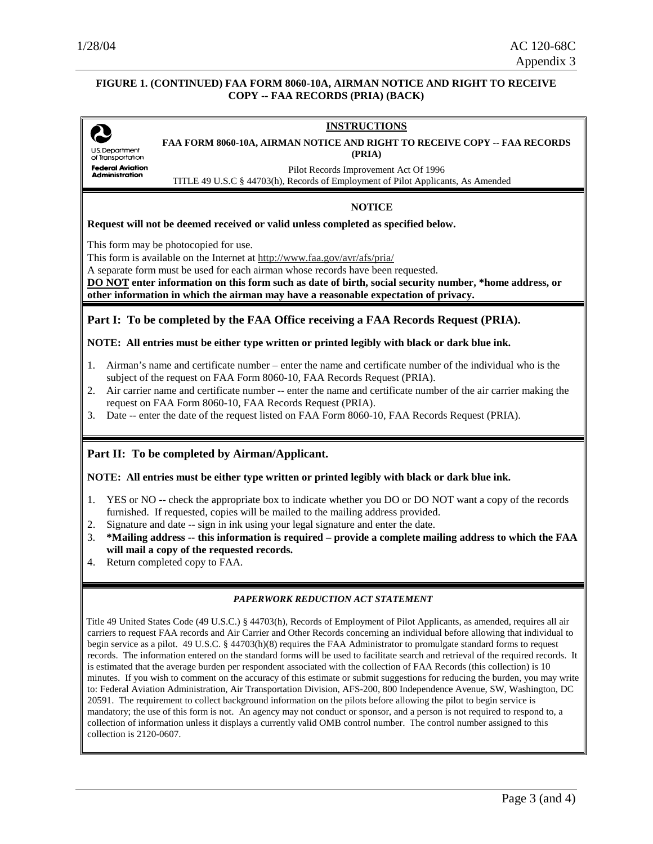#### **FIGURE 1. (CONTINUED) FAA FORM 8060-10A, AIRMAN NOTICE AND RIGHT TO RECEIVE COPY -- FAA RECORDS (PRIA) (BACK)**

# **INSTRUCTIONS FAA FORM 8060-10A, AIRMAN NOTICE AND RIGHT TO RECEIVE COPY -- FAA RECORDS US Department (PRIA)**  of Transportation **Federal Aviation** Pilot Records Improvement Act Of 1996 Administration TITLE 49 U.S.C § 44703(h), Records of Employment of Pilot Applicants, As Amended **NOTICE Request will not be deemed received or valid unless completed as specified below.**  This form may be photocopied for use. This form is available on the Internet at http://www.faa.gov/avr/afs/pria/ A separate form must be used for each airman whose records have been requested. **DO NOT enter information on this form such as date of birth, social security number, \*home address, or other information in which the airman may have a reasonable expectation of privacy. Part I: To be completed by the FAA Office receiving a FAA Records Request (PRIA). NOTE: All entries must be either type written or printed legibly with black or dark blue ink.**  1. Airman's name and certificate number – enter the name and certificate number of the individual who is the subject of the request on FAA Form 8060-10, FAA Records Request (PRIA). 2. Air carrier name and certificate number -- enter the name and certificate number of the air carrier making the request on FAA Form 8060-10, FAA Records Request (PRIA). 3. Date -- enter the date of the request listed on FAA Form 8060-10, FAA Records Request (PRIA). **Part II: To be completed by Airman/Applicant. NOTE: All entries must be either type written or printed legibly with black or dark blue ink.**  1. YES or NO -- check the appropriate box to indicate whether you DO or DO NOT want a copy of the records furnished. If requested, copies will be mailed to the mailing address provided. 2. Signature and date -- sign in ink using your legal signature and enter the date. 3. **\*Mailing address -- this information is required – provide a complete mailing address to which the FAA will mail a copy of the requested records.** 4. Return completed copy to FAA. *PAPERWORK REDUCTION ACT STATEMENT*

Title 49 United States Code (49 U.S.C.) § 44703(h), Records of Employment of Pilot Applicants, as amended, requires all air carriers to request FAA records and Air Carrier and Other Records concerning an individual before allowing that individual to begin service as a pilot. 49 U.S.C. § 44703(h)(8) requires the FAA Administrator to promulgate standard forms to request records. The information entered on the standard forms will be used to facilitate search and retrieval of the required records. It is estimated that the average burden per respondent associated with the collection of FAA Records (this collection) is 10 minutes. If you wish to comment on the accuracy of this estimate or submit suggestions for reducing the burden, you may write to: Federal Aviation Administration, Air Transportation Division, AFS-200, 800 Independence Avenue, SW, Washington, DC 20591. The requirement to collect background information on the pilots before allowing the pilot to begin service is mandatory; the use of this form is not. An agency may not conduct or sponsor, and a person is not required to respond to, a collection of information unless it displays a currently valid OMB control number. The control number assigned to this collection is 2120-0607.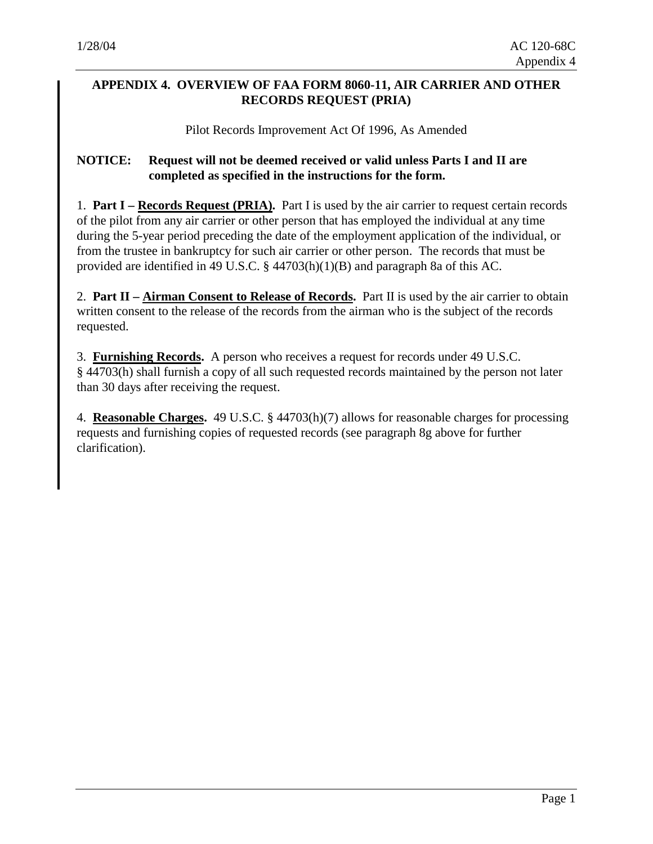# **APPENDIX 4. OVERVIEW OF FAA FORM 8060-11, AIR CARRIER AND OTHER RECORDS REQUEST (PRIA)**

Pilot Records Improvement Act Of 1996, As Amended

# **NOTICE: Request will not be deemed received or valid unless Parts I and II are completed as specified in the instructions for the form.**

1. **Part I – Records Request (PRIA).** Part I is used by the air carrier to request certain records of the pilot from any air carrier or other person that has employed the individual at any time during the 5-year period preceding the date of the employment application of the individual, or from the trustee in bankruptcy for such air carrier or other person. The records that must be provided are identified in 49 U.S.C. § 44703(h)(1)(B) and paragraph 8a of this AC.

2. **Part II – Airman Consent to Release of Records.** Part II is used by the air carrier to obtain written consent to the release of the records from the airman who is the subject of the records requested.

3. **Furnishing Records.** A person who receives a request for records under 49 U.S.C. § 44703(h) shall furnish a copy of all such requested records maintained by the person not later than 30 days after receiving the request.

4. **Reasonable Charges.** 49 U.S.C. § 44703(h)(7) allows for reasonable charges for processing requests and furnishing copies of requested records (see paragraph 8g above for further clarification).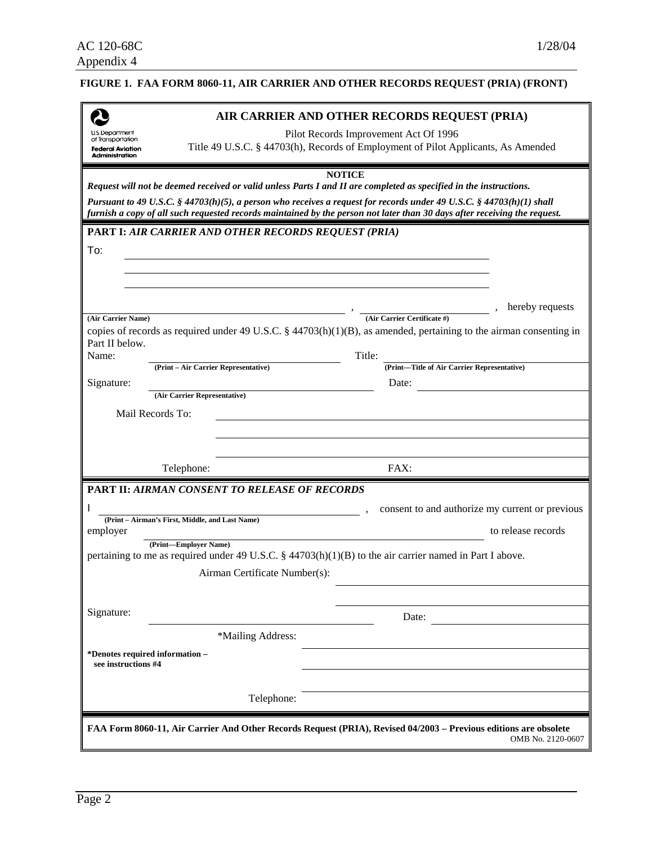# **FIGURE 1. FAA FORM 8060-11, AIR CARRIER AND OTHER RECORDS REQUEST (PRIA) (FRONT)**

|                                               |                                                                                   | AIR CARRIER AND OTHER RECORDS REQUEST (PRIA)                                                                                                                                                                                                      |  |  |
|-----------------------------------------------|-----------------------------------------------------------------------------------|---------------------------------------------------------------------------------------------------------------------------------------------------------------------------------------------------------------------------------------------------|--|--|
| U.S. Department<br>of Transportation          | Pilot Records Improvement Act Of 1996                                             |                                                                                                                                                                                                                                                   |  |  |
| <b>Federal Aviation</b><br>Administration     | Title 49 U.S.C. § 44703(h), Records of Employment of Pilot Applicants, As Amended |                                                                                                                                                                                                                                                   |  |  |
|                                               |                                                                                   | <b>NOTICE</b>                                                                                                                                                                                                                                     |  |  |
|                                               |                                                                                   | Request will not be deemed received or valid unless Parts I and II are completed as specified in the instructions.                                                                                                                                |  |  |
|                                               |                                                                                   | Pursuant to 49 U.S.C. § 44703(h)(5), a person who receives a request for records under 49 U.S.C. § 44703(h)(1) shall<br>furnish a copy of all such requested records maintained by the person not later than 30 days after receiving the request. |  |  |
|                                               | <b>PART I: AIR CARRIER AND OTHER RECORDS REQUEST (PRIA)</b>                       |                                                                                                                                                                                                                                                   |  |  |
| To:                                           |                                                                                   |                                                                                                                                                                                                                                                   |  |  |
|                                               |                                                                                   |                                                                                                                                                                                                                                                   |  |  |
|                                               |                                                                                   |                                                                                                                                                                                                                                                   |  |  |
|                                               |                                                                                   | hereby requests                                                                                                                                                                                                                                   |  |  |
| (Air Carrier Name)                            |                                                                                   | (Air Carrier Certificate #)                                                                                                                                                                                                                       |  |  |
| Part II below.                                |                                                                                   | copies of records as required under 49 U.S.C. $\S$ 44703(h)(1)(B), as amended, pertaining to the airman consenting in                                                                                                                             |  |  |
| Name:                                         |                                                                                   | Title:                                                                                                                                                                                                                                            |  |  |
| Signature:                                    | (Print - Air Carrier Representative)                                              | (Print-Title of Air Carrier Representative)<br>Date:                                                                                                                                                                                              |  |  |
|                                               | (Air Carrier Representative)                                                      |                                                                                                                                                                                                                                                   |  |  |
| Mail Records To:                              |                                                                                   |                                                                                                                                                                                                                                                   |  |  |
|                                               |                                                                                   |                                                                                                                                                                                                                                                   |  |  |
|                                               |                                                                                   |                                                                                                                                                                                                                                                   |  |  |
|                                               |                                                                                   |                                                                                                                                                                                                                                                   |  |  |
|                                               | Telephone:                                                                        | FAX:                                                                                                                                                                                                                                              |  |  |
|                                               | <b>PART II: AIRMAN CONSENT TO RELEASE OF RECORDS</b>                              |                                                                                                                                                                                                                                                   |  |  |
|                                               |                                                                                   |                                                                                                                                                                                                                                                   |  |  |
| employer                                      | (Print - Airman's First, Middle, and Last Name)                                   | consent to and authorize my current or previous<br>to release records                                                                                                                                                                             |  |  |
|                                               | (Print-Employer Name)                                                             |                                                                                                                                                                                                                                                   |  |  |
|                                               |                                                                                   | pertaining to me as required under 49 U.S.C. § 44703(h)(1)(B) to the air carrier named in Part I above.                                                                                                                                           |  |  |
|                                               | Airman Certificate Number(s):                                                     |                                                                                                                                                                                                                                                   |  |  |
|                                               |                                                                                   |                                                                                                                                                                                                                                                   |  |  |
|                                               |                                                                                   | Date:                                                                                                                                                                                                                                             |  |  |
|                                               | *Mailing Address:                                                                 |                                                                                                                                                                                                                                                   |  |  |
| see instructions #4                           |                                                                                   |                                                                                                                                                                                                                                                   |  |  |
| Signature:<br>*Denotes required information - | Telephone:                                                                        |                                                                                                                                                                                                                                                   |  |  |
|                                               |                                                                                   | FAA Form 8060-11, Air Carrier And Other Records Request (PRIA), Revised 04/2003 - Previous editions are obsolete                                                                                                                                  |  |  |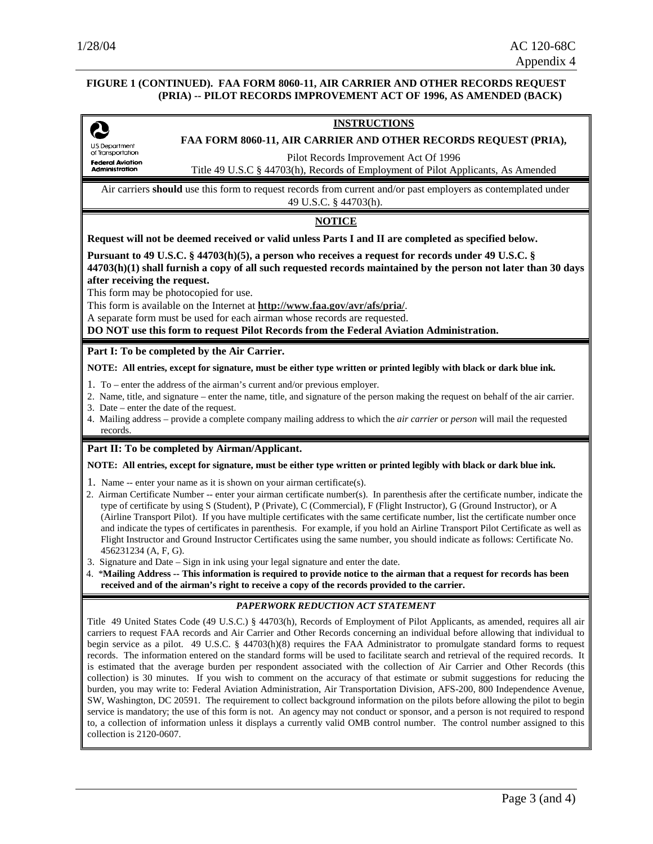#### **FIGURE 1 (CONTINUED). FAA FORM 8060-11, AIR CARRIER AND OTHER RECORDS REQUEST (PRIA) -- PILOT RECORDS IMPROVEMENT ACT OF 1996, AS AMENDED (BACK)**

#### **INSTRUCTIONS**

Q U.S. Department<br>of Transportation **Federal Aviation<br>Administration** 

**FAA FORM 8060-11, AIR CARRIER AND OTHER RECORDS REQUEST (PRIA),** 

Pilot Records Improvement Act Of 1996

Title 49 U.S.C § 44703(h), Records of Employment of Pilot Applicants, As Amended

Air carriers **should** use this form to request records from current and/or past employers as contemplated under 49 U.S.C. § 44703(h).

#### **NOTICE**

**Request will not be deemed received or valid unless Parts I and II are completed as specified below.** 

**Pursuant to 49 U.S.C. § 44703(h)(5), a person who receives a request for records under 49 U.S.C. § 44703(h)(1) shall furnish a copy of all such requested records maintained by the person not later than 30 days after receiving the request.** 

This form may be photocopied for use.

This form is available on the Internet at **http://www.faa.gov/avr/afs/pria/**.

A separate form must be used for each airman whose records are requested.

**DO NOT use this form to request Pilot Records from the Federal Aviation Administration.**

#### **Part I: To be completed by the Air Carrier.**

**NOTE: All entries, except for signature, must be either type written or printed legibly with black or dark blue ink.** 

- 1. To enter the address of the airman's current and/or previous employer.
- 2. Name, title, and signature enter the name, title, and signature of the person making the request on behalf of the air carrier.
- 3. Date enter the date of the request.
- 4. Mailing address provide a complete company mailing address to which the *air carrier* or *person* will mail the requested records.

#### **Part II: To be completed by Airman/Applicant.**

#### **NOTE: All entries, except for signature, must be either type written or printed legibly with black or dark blue ink.**

- 1. Name -- enter your name as it is shown on your airman certificate(s).
- 2. Airman Certificate Number -- enter your airman certificate number(s). In parenthesis after the certificate number, indicate the type of certificate by using S (Student), P (Private), C (Commercial), F (Flight Instructor), G (Ground Instructor), or A (Airline Transport Pilot). If you have multiple certificates with the same certificate number, list the certificate number once and indicate the types of certificates in parenthesis. For example, if you hold an Airline Transport Pilot Certificate as well as Flight Instructor and Ground Instructor Certificates using the same number, you should indicate as follows: Certificate No. 456231234 (A, F, G).
- 3. Signature and Date Sign in ink using your legal signature and enter the date.
- 4. \***Mailing Address -- This information is required to provide notice to the airman that a request for records has been received and of the airman's right to receive a copy of the records provided to the carrier.**

#### *PAPERWORK REDUCTION ACT STATEMENT*

Title 49 United States Code (49 U.S.C.) § 44703(h), Records of Employment of Pilot Applicants, as amended, requires all air carriers to request FAA records and Air Carrier and Other Records concerning an individual before allowing that individual to begin service as a pilot. 49 U.S.C. § 44703(h)(8) requires the FAA Administrator to promulgate standard forms to request records. The information entered on the standard forms will be used to facilitate search and retrieval of the required records. It is estimated that the average burden per respondent associated with the collection of Air Carrier and Other Records (this collection) is 30 minutes. If you wish to comment on the accuracy of that estimate or submit suggestions for reducing the burden, you may write to: Federal Aviation Administration, Air Transportation Division, AFS-200, 800 Independence Avenue, SW, Washington, DC 20591. The requirement to collect background information on the pilots before allowing the pilot to begin service is mandatory; the use of this form is not. An agency may not conduct or sponsor, and a person is not required to respond to, a collection of information unless it displays a currently valid OMB control number. The control number assigned to this collection is 2120-0607.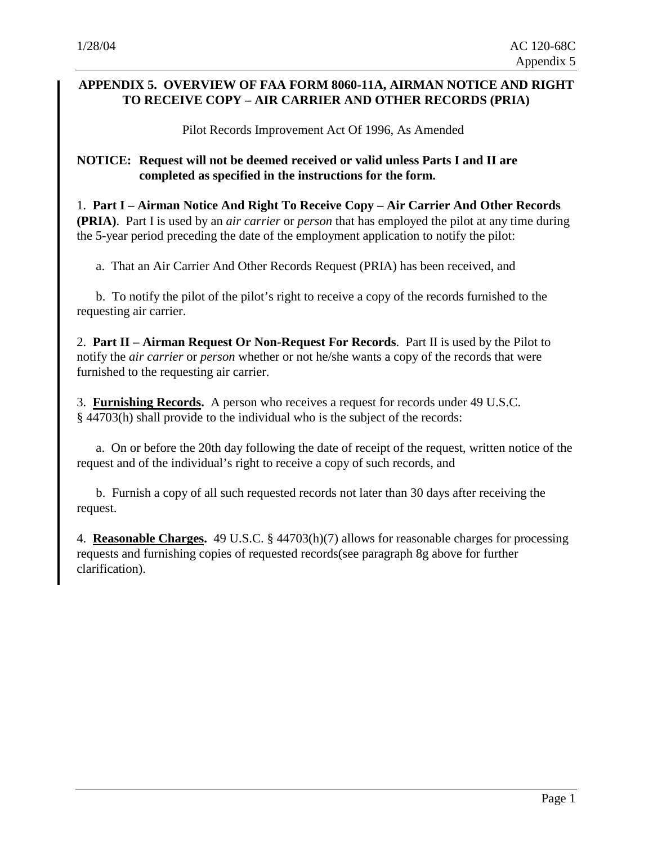# **APPENDIX 5. OVERVIEW OF FAA FORM 8060-11A, AIRMAN NOTICE AND RIGHT TO RECEIVE COPY – AIR CARRIER AND OTHER RECORDS (PRIA)**

Pilot Records Improvement Act Of 1996, As Amended

#### **NOTICE: Request will not be deemed received or valid unless Parts I and II are completed as specified in the instructions for the form.**

1. **Part I – Airman Notice And Right To Receive Copy – Air Carrier And Other Records (PRIA)**. Part I is used by an *air carrier* or *person* that has employed the pilot at any time during the 5-year period preceding the date of the employment application to notify the pilot:

a. That an Air Carrier And Other Records Request (PRIA) has been received, and

b. To notify the pilot of the pilot's right to receive a copy of the records furnished to the requesting air carrier.

2. **Part II – Airman Request Or Non-Request For Records**. Part II is used by the Pilot to notify the *air carrier* or *person* whether or not he/she wants a copy of the records that were furnished to the requesting air carrier.

3. **Furnishing Records.** A person who receives a request for records under 49 U.S.C. § 44703(h) shall provide to the individual who is the subject of the records:

a. On or before the 20th day following the date of receipt of the request, written notice of the request and of the individual's right to receive a copy of such records, and

b. Furnish a copy of all such requested records not later than 30 days after receiving the request.

4. **Reasonable Charges.** 49 U.S.C. § 44703(h)(7) allows for reasonable charges for processing requests and furnishing copies of requested records(see paragraph 8g above for further clarification).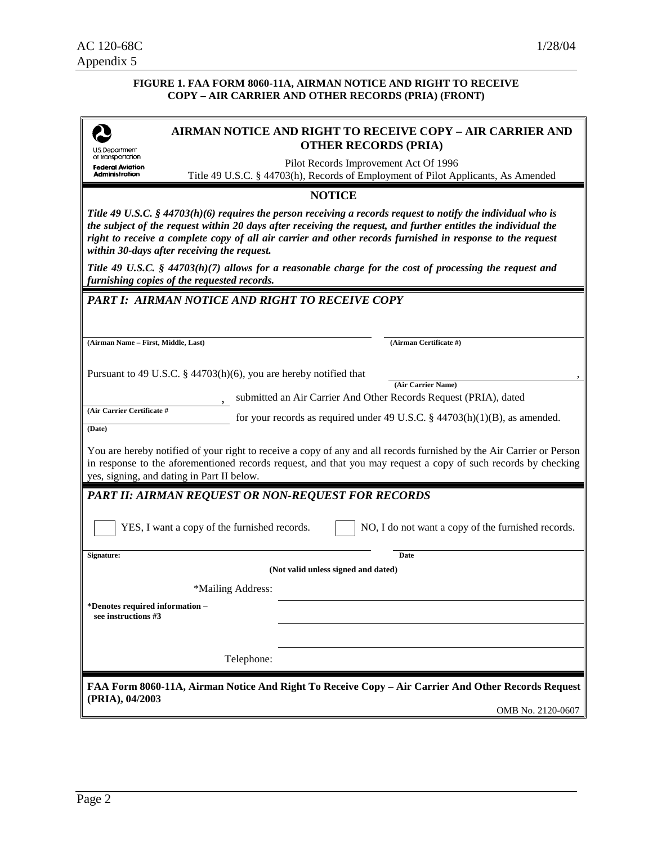#### **FIGURE 1. FAA FORM 8060-11A, AIRMAN NOTICE AND RIGHT TO RECEIVE COPY – AIR CARRIER AND OTHER RECORDS (PRIA) (FRONT)**

| J.S. Department                                                                                                                                                                                                                                                                                                                                                                              |                                                                                                                                                                                                                                                                                       | <b>AIRMAN NOTICE AND RIGHT TO RECEIVE COPY - AIR CARRIER AND</b><br><b>OTHER RECORDS (PRIA)</b>                            |  |
|----------------------------------------------------------------------------------------------------------------------------------------------------------------------------------------------------------------------------------------------------------------------------------------------------------------------------------------------------------------------------------------------|---------------------------------------------------------------------------------------------------------------------------------------------------------------------------------------------------------------------------------------------------------------------------------------|----------------------------------------------------------------------------------------------------------------------------|--|
| of Transportation<br><b>Federal Aviation</b><br>Administration                                                                                                                                                                                                                                                                                                                               |                                                                                                                                                                                                                                                                                       | Pilot Records Improvement Act Of 1996<br>Title 49 U.S.C. § 44703(h), Records of Employment of Pilot Applicants, As Amended |  |
|                                                                                                                                                                                                                                                                                                                                                                                              |                                                                                                                                                                                                                                                                                       | <b>NOTICE</b>                                                                                                              |  |
| Title 49 U.S.C. § 44703(h)(6) requires the person receiving a records request to notify the individual who is<br>the subject of the request within 20 days after receiving the request, and further entitles the individual the<br>right to receive a complete copy of all air carrier and other records furnished in response to the request<br>within 30-days after receiving the request. |                                                                                                                                                                                                                                                                                       |                                                                                                                            |  |
|                                                                                                                                                                                                                                                                                                                                                                                              | furnishing copies of the requested records.                                                                                                                                                                                                                                           | Title 49 U.S.C. $\S$ 44703(h)(7) allows for a reasonable charge for the cost of processing the request and                 |  |
|                                                                                                                                                                                                                                                                                                                                                                                              | PART I: AIRMAN NOTICE AND RIGHT TO RECEIVE COPY                                                                                                                                                                                                                                       |                                                                                                                            |  |
|                                                                                                                                                                                                                                                                                                                                                                                              |                                                                                                                                                                                                                                                                                       |                                                                                                                            |  |
|                                                                                                                                                                                                                                                                                                                                                                                              |                                                                                                                                                                                                                                                                                       |                                                                                                                            |  |
| (Airman Name - First, Middle, Last)                                                                                                                                                                                                                                                                                                                                                          |                                                                                                                                                                                                                                                                                       | (Airman Certificate #)                                                                                                     |  |
|                                                                                                                                                                                                                                                                                                                                                                                              | Pursuant to 49 U.S.C. $\S$ 44703(h)(6), you are hereby notified that<br>(Air Carrier Name)<br>submitted an Air Carrier And Other Records Request (PRIA), dated                                                                                                                        |                                                                                                                            |  |
| (Air Carrier Certificate #                                                                                                                                                                                                                                                                                                                                                                   |                                                                                                                                                                                                                                                                                       | for your records as required under 49 U.S.C. $\S$ 44703(h)(1)(B), as amended.                                              |  |
| (Date)                                                                                                                                                                                                                                                                                                                                                                                       |                                                                                                                                                                                                                                                                                       |                                                                                                                            |  |
|                                                                                                                                                                                                                                                                                                                                                                                              | You are hereby notified of your right to receive a copy of any and all records furnished by the Air Carrier or Person<br>in response to the aforementioned records request, and that you may request a copy of such records by checking<br>yes, signing, and dating in Part II below. |                                                                                                                            |  |
|                                                                                                                                                                                                                                                                                                                                                                                              | <b>PART II: AIRMAN REQUEST OR NON-REQUEST FOR RECORDS</b>                                                                                                                                                                                                                             |                                                                                                                            |  |
|                                                                                                                                                                                                                                                                                                                                                                                              | YES, I want a copy of the furnished records.                                                                                                                                                                                                                                          | NO, I do not want a copy of the furnished records.                                                                         |  |
| Signature:                                                                                                                                                                                                                                                                                                                                                                                   |                                                                                                                                                                                                                                                                                       | Date                                                                                                                       |  |
|                                                                                                                                                                                                                                                                                                                                                                                              |                                                                                                                                                                                                                                                                                       | (Not valid unless signed and dated)                                                                                        |  |
|                                                                                                                                                                                                                                                                                                                                                                                              | *Mailing Address:                                                                                                                                                                                                                                                                     |                                                                                                                            |  |
| *Denotes required information -<br>see instructions #3                                                                                                                                                                                                                                                                                                                                       |                                                                                                                                                                                                                                                                                       |                                                                                                                            |  |
|                                                                                                                                                                                                                                                                                                                                                                                              |                                                                                                                                                                                                                                                                                       |                                                                                                                            |  |
|                                                                                                                                                                                                                                                                                                                                                                                              | Telephone:                                                                                                                                                                                                                                                                            |                                                                                                                            |  |
|                                                                                                                                                                                                                                                                                                                                                                                              |                                                                                                                                                                                                                                                                                       | FAA Form 8060-11A, Airman Notice And Right To Receive Copy - Air Carrier And Other Records Request                         |  |
| (PRIA), 04/2003                                                                                                                                                                                                                                                                                                                                                                              |                                                                                                                                                                                                                                                                                       | OMB No. 2120-0607                                                                                                          |  |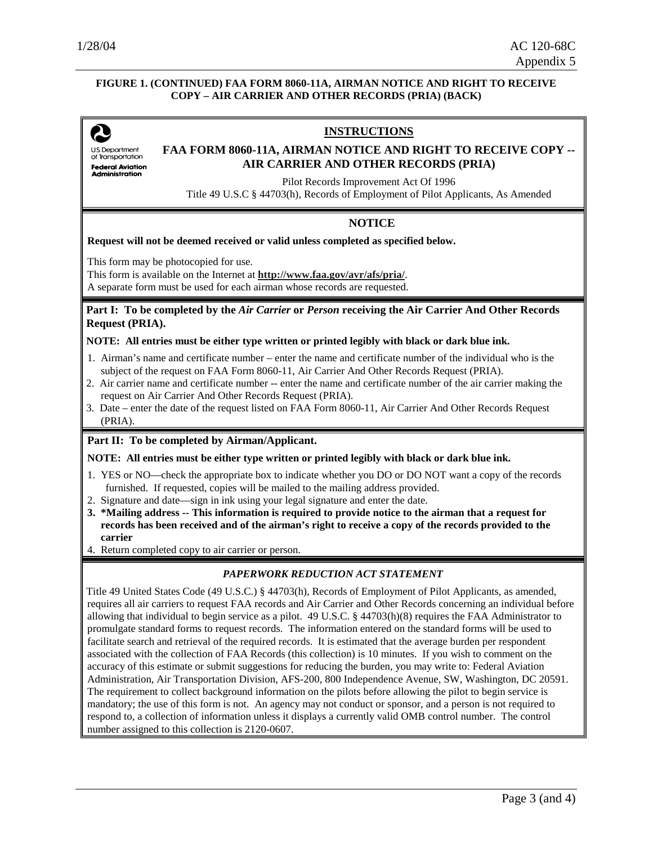#### **FIGURE 1. (CONTINUED) FAA FORM 8060-11A, AIRMAN NOTICE AND RIGHT TO RECEIVE COPY – AIR CARRIER AND OTHER RECORDS (PRIA) (BACK)**

U.S. Department of Transportation **Federal Aviation** Administration

#### **INSTRUCTIONS**

#### **FAA FORM 8060-11A, AIRMAN NOTICE AND RIGHT TO RECEIVE COPY -- AIR CARRIER AND OTHER RECORDS (PRIA)**

Pilot Records Improvement Act Of 1996

Title 49 U.S.C § 44703(h), Records of Employment of Pilot Applicants, As Amended

#### **NOTICE**

**Request will not be deemed received or valid unless completed as specified below.** 

This form may be photocopied for use.

This form is available on the Internet at **http://www.faa.gov/avr/afs/pria/**.

A separate form must be used for each airman whose records are requested.

#### **Part I: To be completed by the** *Air Carrier* **or** *Person* **receiving the Air Carrier And Other Records Request (PRIA).**

#### **NOTE: All entries must be either type written or printed legibly with black or dark blue ink.**

- 1. Airman's name and certificate number enter the name and certificate number of the individual who is the subject of the request on FAA Form 8060-11, Air Carrier And Other Records Request (PRIA).
- 2. Air carrier name and certificate number -- enter the name and certificate number of the air carrier making the request on Air Carrier And Other Records Request (PRIA).
- 3. Date enter the date of the request listed on FAA Form 8060-11, Air Carrier And Other Records Request (PRIA).

#### **Part II: To be completed by Airman/Applicant.**

#### **NOTE: All entries must be either type written or printed legibly with black or dark blue ink.**

- 1. YES or NO—check the appropriate box to indicate whether you DO or DO NOT want a copy of the records furnished. If requested, copies will be mailed to the mailing address provided.
- 2. Signature and date—sign in ink using your legal signature and enter the date.
- **3. \*Mailing address -- This information is required to provide notice to the airman that a request for records has been received and of the airman's right to receive a copy of the records provided to the carrier**
- 4. Return completed copy to air carrier or person.

#### *PAPERWORK REDUCTION ACT STATEMENT*

Title 49 United States Code (49 U.S.C.) § 44703(h), Records of Employment of Pilot Applicants, as amended, requires all air carriers to request FAA records and Air Carrier and Other Records concerning an individual before allowing that individual to begin service as a pilot.  $49 \text{ U.S.C.}$  §  $44703(h)(8)$  requires the FAA Administrator to promulgate standard forms to request records. The information entered on the standard forms will be used to facilitate search and retrieval of the required records. It is estimated that the average burden per respondent associated with the collection of FAA Records (this collection) is 10 minutes. If you wish to comment on the accuracy of this estimate or submit suggestions for reducing the burden, you may write to: Federal Aviation Administration, Air Transportation Division, AFS-200, 800 Independence Avenue, SW, Washington, DC 20591. The requirement to collect background information on the pilots before allowing the pilot to begin service is mandatory; the use of this form is not. An agency may not conduct or sponsor, and a person is not required to respond to, a collection of information unless it displays a currently valid OMB control number. The control number assigned to this collection is 2120-0607.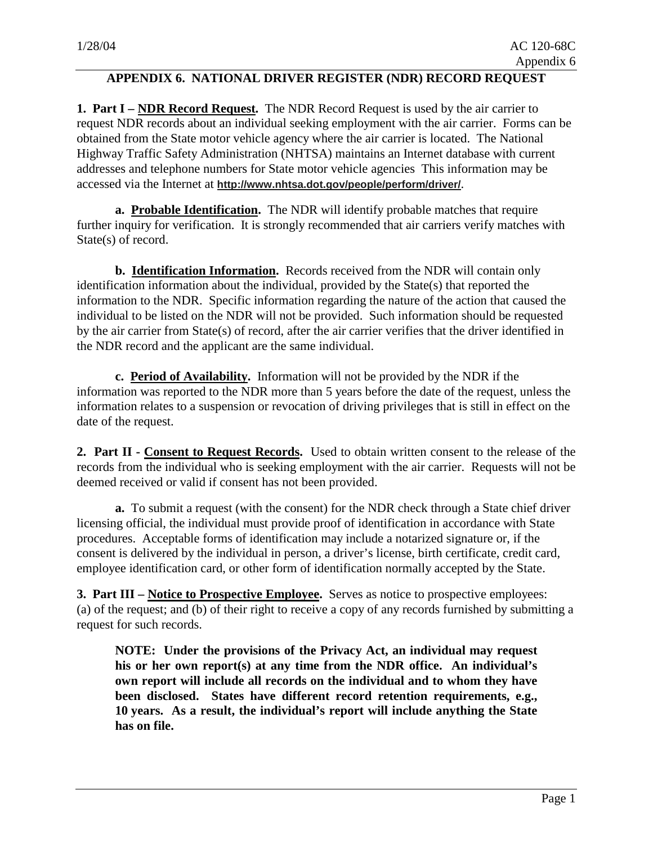# **APPENDIX 6. NATIONAL DRIVER REGISTER (NDR) RECORD REQUEST**

**1. Part I – NDR Record Request.** The NDR Record Request is used by the air carrier to request NDR records about an individual seeking employment with the air carrier. Forms can be obtained from the State motor vehicle agency where the air carrier is located. The National Highway Traffic Safety Administration (NHTSA) maintains an Internet database with current addresses and telephone numbers for State motor vehicle agencies This information may be accessed via the Internet at **http://www.nhtsa.dot.gov/people/perform/driver/**.

**a. Probable Identification.** The NDR will identify probable matches that require further inquiry for verification. It is strongly recommended that air carriers verify matches with State(s) of record.

**b. Identification Information.** Records received from the NDR will contain only identification information about the individual, provided by the State(s) that reported the information to the NDR. Specific information regarding the nature of the action that caused the individual to be listed on the NDR will not be provided. Such information should be requested by the air carrier from State(s) of record, after the air carrier verifies that the driver identified in the NDR record and the applicant are the same individual.

**c. Period of Availability.** Information will not be provided by the NDR if the information was reported to the NDR more than 5 years before the date of the request, unless the information relates to a suspension or revocation of driving privileges that is still in effect on the date of the request.

**2. Part II - Consent to Request Records.** Used to obtain written consent to the release of the records from the individual who is seeking employment with the air carrier. Requests will not be deemed received or valid if consent has not been provided.

**a.** To submit a request (with the consent) for the NDR check through a State chief driver licensing official, the individual must provide proof of identification in accordance with State procedures. Acceptable forms of identification may include a notarized signature or, if the consent is delivered by the individual in person, a driver's license, birth certificate, credit card, employee identification card, or other form of identification normally accepted by the State.

**3. Part III – Notice to Prospective Employee.** Serves as notice to prospective employees: (a) of the request; and (b) of their right to receive a copy of any records furnished by submitting a request for such records.

**NOTE: Under the provisions of the Privacy Act, an individual may request his or her own report(s) at any time from the NDR office. An individual's own report will include all records on the individual and to whom they have been disclosed. States have different record retention requirements, e.g., 10 years. As a result, the individual's report will include anything the State has on file.**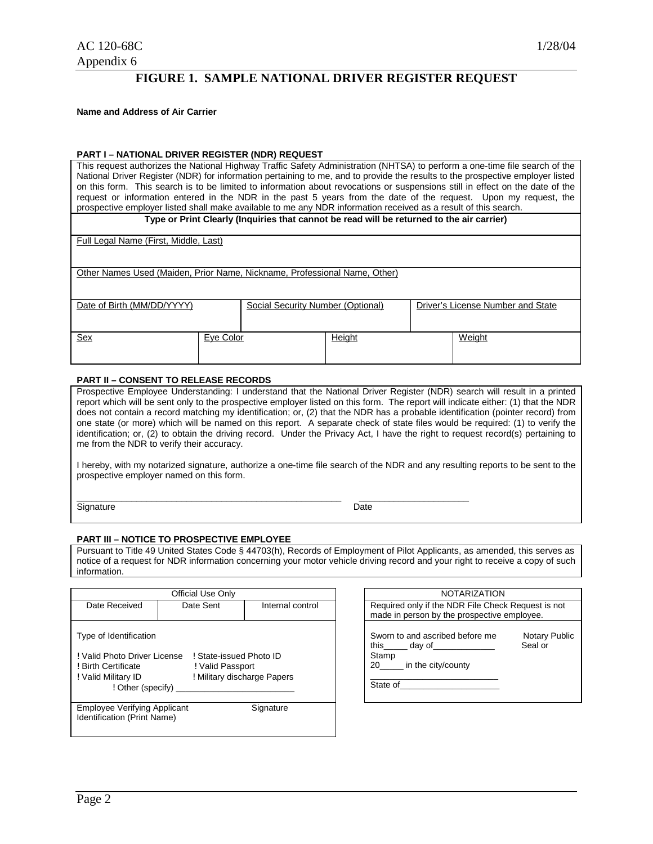# **FIGURE 1. SAMPLE NATIONAL DRIVER REGISTER REQUEST**

**Name and Address of Air Carrier** 

#### **PART I – NATIONAL DRIVER REGISTER (NDR) REQUEST**

| This request authorizes the National Highway Traffic Safety Administration (NHTSA) to perform a one-time file search of the    |  |  |
|--------------------------------------------------------------------------------------------------------------------------------|--|--|
| National Driver Register (NDR) for information pertaining to me, and to provide the results to the prospective employer listed |  |  |
| on this form. This search is to be limited to information about revocations or suspensions still in effect on the date of the  |  |  |
| request or information entered in the NDR in the past 5 years from the date of the request. Upon my request, the               |  |  |
| prospective employer listed shall make available to me any NDR information received as a result of this search.                |  |  |
| Type or Print Clearly (Inquiries that cannot be read will be returned to the air carrier)                                      |  |  |

Full Legal Name (First, Middle, Last)

Other Names Used (Maiden, Prior Name, Nickname, Professional Name, Other)

| Other Names Osed (Malden, Prior Name, Nickhame, Professional Name, Other) |  |  |
|---------------------------------------------------------------------------|--|--|
|                                                                           |  |  |

| Date of Birth (MM/DD/YYYY) |           | Social Security Number (Optional) |               | Driver's License Number and State |        |
|----------------------------|-----------|-----------------------------------|---------------|-----------------------------------|--------|
| <u>Sex</u>                 | Eye Color |                                   | <u>Height</u> |                                   | Weight |

#### **PART II – CONSENT TO RELEASE RECORDS**

Prospective Employee Understanding: I understand that the National Driver Register (NDR) search will result in a printed report which will be sent only to the prospective employer listed on this form. The report will indicate either: (1) that the NDR does not contain a record matching my identification; or, (2) that the NDR has a probable identification (pointer record) from one state (or more) which will be named on this report. A separate check of state files would be required: (1) to verify the identification; or, (2) to obtain the driving record. Under the Privacy Act, I have the right to request record(s) pertaining to me from the NDR to verify their accuracy.

I hereby, with my notarized signature, authorize a one-time file search of the NDR and any resulting reports to be sent to the prospective employer named on this form.

\_\_\_\_\_\_\_\_\_\_\_\_\_\_\_\_\_\_\_\_\_\_\_\_\_\_\_\_\_\_\_\_\_\_\_\_\_\_\_\_\_\_\_\_\_\_\_\_\_\_\_\_\_ \_\_\_\_\_\_\_\_\_\_\_\_\_\_\_\_\_\_\_\_\_\_ Signature Date

#### **PART III – NOTICE TO PROSPECTIVE EMPLOYEE**

Pursuant to Title 49 United States Code § 44703(h), Records of Employment of Pilot Applicants, as amended, this serves as notice of a request for NDR information concerning your motor vehicle driving record and your right to receive a copy of such information.

| Official Use Only                                                                                                                                                                                       |                               | <b>NOTARIZATION</b>                                                                                                                             |                                                                                                   |  |
|---------------------------------------------------------------------------------------------------------------------------------------------------------------------------------------------------------|-------------------------------|-------------------------------------------------------------------------------------------------------------------------------------------------|---------------------------------------------------------------------------------------------------|--|
| Date Received                                                                                                                                                                                           | Date Sent<br>Internal control |                                                                                                                                                 | Required only if the NDR File Check Request is not<br>made in person by the prospective employee. |  |
| Type of Identification<br>! Valid Photo Driver License<br>! State-issued Photo ID<br>! Birth Certificate<br>! Valid Passport<br>! Military discharge Papers<br>! Valid Military ID<br>! Other (specify) |                               | Sworn to and ascribed before me<br>this $\_\_\_$ day of $\_\_\_\_\_\_\_\_\_\_\_\_\_\_\_\_\_\_$<br>Stamp<br>20<br>in the city/county<br>State of | Notary Publ<br>Seal or                                                                            |  |
| <b>Employee Verifying Applicant</b><br>Identification (Print Name)                                                                                                                                      |                               | Signature                                                                                                                                       |                                                                                                   |  |

| <b>NOTARIZATION</b><br>Required only if the NDR File Check Request is not<br>made in person by the prospective employee. |                                 |
|--------------------------------------------------------------------------------------------------------------------------|---------------------------------|
| Sworn to and ascribed before me<br>this day of<br>Stamp<br>20 in the city/county<br>State of                             | <b>Notary Public</b><br>Seal or |